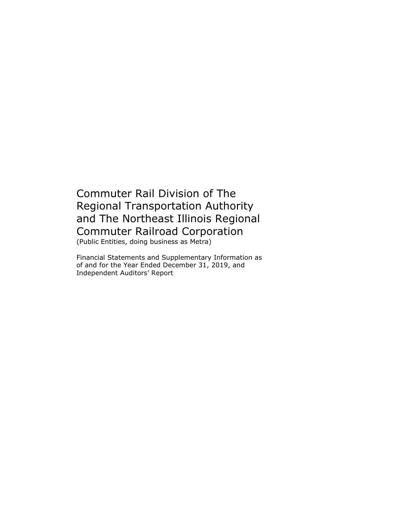Commuter Rail Division of The Regional Transportation Authority and The Northeast Illinois Regional Commuter Railroad Corporation (Public Entities, doing business as Metra)

Financial Statements and Supplementary Information as of and for the Year Ended December 31, 2019, and Independent Auditors' Report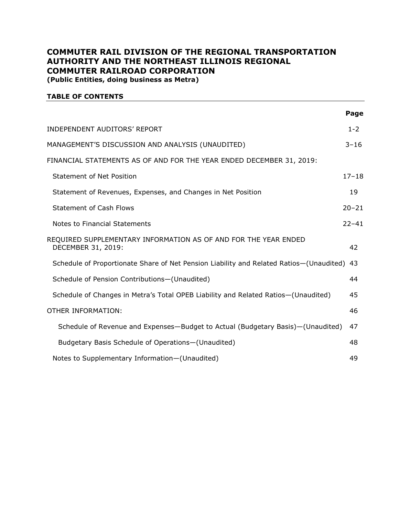**(Public Entities, doing business as Metra)**

### **TABLE OF CONTENTS**

|                                                                                            | Page      |
|--------------------------------------------------------------------------------------------|-----------|
| <b>INDEPENDENT AUDITORS' REPORT</b>                                                        | $1 - 2$   |
| MANAGEMENT'S DISCUSSION AND ANALYSIS (UNAUDITED)                                           | $3 - 16$  |
| FINANCIAL STATEMENTS AS OF AND FOR THE YEAR ENDED DECEMBER 31, 2019:                       |           |
| <b>Statement of Net Position</b>                                                           | $17 - 18$ |
| Statement of Revenues, Expenses, and Changes in Net Position                               | 19        |
| <b>Statement of Cash Flows</b>                                                             | $20 - 21$ |
| Notes to Financial Statements                                                              | $22 - 41$ |
| REQUIRED SUPPLEMENTARY INFORMATION AS OF AND FOR THE YEAR ENDED<br>DECEMBER 31, 2019:      | 42        |
| Schedule of Proportionate Share of Net Pension Liability and Related Ratios-(Unaudited) 43 |           |
| Schedule of Pension Contributions-(Unaudited)                                              | 44        |
| Schedule of Changes in Metra's Total OPEB Liability and Related Ratios-(Unaudited)         | 45        |
| <b>OTHER INFORMATION:</b>                                                                  | 46        |
| Schedule of Revenue and Expenses-Budget to Actual (Budgetary Basis)-(Unaudited)            | 47        |
| Budgetary Basis Schedule of Operations-(Unaudited)                                         | 48        |
| Notes to Supplementary Information-(Unaudited)                                             | 49        |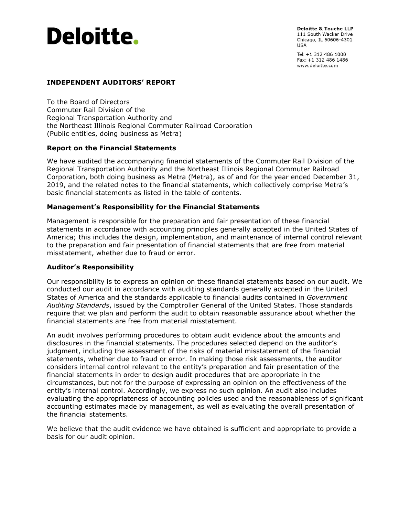# **Deloitte.**

**Deloitte & Touche LLP** 111 South Wacker Drive Chicago, IL 60606-4301 **USA** 

Tel: +1 312 486 1000 Fax: +1 312 486 1486 www.deloitte.com

### **INDEPENDENT AUDITORS' REPORT**

To the Board of Directors Commuter Rail Division of the Regional Transportation Authority and the Northeast Illinois Regional Commuter Railroad Corporation (Public entities, doing business as Metra)

#### **Report on the Financial Statements**

We have audited the accompanying financial statements of the Commuter Rail Division of the Regional Transportation Authority and the Northeast Illinois Regional Commuter Railroad Corporation, both doing business as Metra (Metra), as of and for the year ended December 31, 2019, and the related notes to the financial statements, which collectively comprise Metra's basic financial statements as listed in the table of contents.

#### **Management's Responsibility for the Financial Statements**

Management is responsible for the preparation and fair presentation of these financial statements in accordance with accounting principles generally accepted in the United States of America; this includes the design, implementation, and maintenance of internal control relevant to the preparation and fair presentation of financial statements that are free from material misstatement, whether due to fraud or error.

#### **Auditor's Responsibility**

Our responsibility is to express an opinion on these financial statements based on our audit. We conducted our audit in accordance with auditing standards generally accepted in the United States of America and the standards applicable to financial audits contained in *Government Auditing Standards*, issued by the Comptroller General of the United States. Those standards require that we plan and perform the audit to obtain reasonable assurance about whether the financial statements are free from material misstatement.

An audit involves performing procedures to obtain audit evidence about the amounts and disclosures in the financial statements. The procedures selected depend on the auditor's judgment, including the assessment of the risks of material misstatement of the financial statements, whether due to fraud or error. In making those risk assessments, the auditor considers internal control relevant to the entity's preparation and fair presentation of the financial statements in order to design audit procedures that are appropriate in the circumstances, but not for the purpose of expressing an opinion on the effectiveness of the entity's internal control. Accordingly, we express no such opinion. An audit also includes evaluating the appropriateness of accounting policies used and the reasonableness of significant accounting estimates made by management, as well as evaluating the overall presentation of the financial statements.

We believe that the audit evidence we have obtained is sufficient and appropriate to provide a basis for our audit opinion.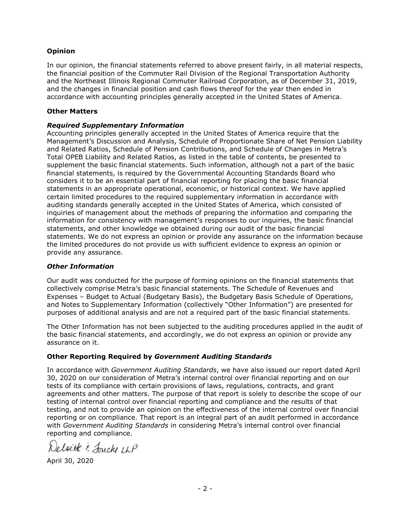### **Opinion**

In our opinion, the financial statements referred to above present fairly, in all material respects, the financial position of the Commuter Rail Division of the Regional Transportation Authority and the Northeast Illinois Regional Commuter Railroad Corporation, as of December 31, 2019, and the changes in financial position and cash flows thereof for the year then ended in accordance with accounting principles generally accepted in the United States of America.

#### **Other Matters**

#### *Required Supplementary Information*

Accounting principles generally accepted in the United States of America require that the Management's Discussion and Analysis, Schedule of Proportionate Share of Net Pension Liability and Related Ratios, Schedule of Pension Contributions, and Schedule of Changes in Metra's Total OPEB Liability and Related Ratios, as listed in the table of contents, be presented to supplement the basic financial statements. Such information, although not a part of the basic financial statements, is required by the Governmental Accounting Standards Board who considers it to be an essential part of financial reporting for placing the basic financial statements in an appropriate operational, economic, or historical context. We have applied certain limited procedures to the required supplementary information in accordance with auditing standards generally accepted in the United States of America, which consisted of inquiries of management about the methods of preparing the information and comparing the information for consistency with management's responses to our inquiries, the basic financial statements, and other knowledge we obtained during our audit of the basic financial statements. We do not express an opinion or provide any assurance on the information because the limited procedures do not provide us with sufficient evidence to express an opinion or provide any assurance.

#### *Other Information*

Our audit was conducted for the purpose of forming opinions on the financial statements that collectively comprise Metra's basic financial statements. The Schedule of Revenues and Expenses – Budget to Actual (Budgetary Basis), the Budgetary Basis Schedule of Operations, and Notes to Supplementary Information (collectively "Other Information") are presented for purposes of additional analysis and are not a required part of the basic financial statements.

The Other Information has not been subjected to the auditing procedures applied in the audit of the basic financial statements, and accordingly, we do not express an opinion or provide any assurance on it.

### **Other Reporting Required by** *Government Auditing Standards*

In accordance with *Government Auditing Standards*, we have also issued our report dated April 30, 2020 on our consideration of Metra's internal control over financial reporting and on our tests of its compliance with certain provisions of laws, regulations, contracts, and grant agreements and other matters. The purpose of that report is solely to describe the scope of our testing of internal control over financial reporting and compliance and the results of that testing, and not to provide an opinion on the effectiveness of the internal control over financial reporting or on compliance. That report is an integral part of an audit performed in accordance with *Government Auditing Standards* in considering Metra's internal control over financial reporting and compliance.

Deloite & Jouche LLP

April 30, 2020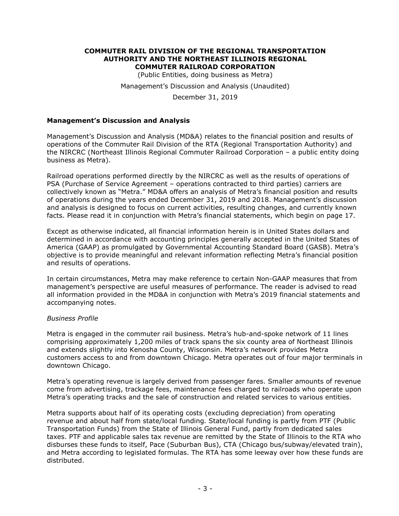(Public Entities, doing business as Metra)

Management's Discussion and Analysis (Unaudited)

December 31, 2019

#### **Management's Discussion and Analysis**

Management's Discussion and Analysis (MD&A) relates to the financial position and results of operations of the Commuter Rail Division of the RTA (Regional Transportation Authority) and the NIRCRC (Northeast Illinois Regional Commuter Railroad Corporation – a public entity doing business as Metra).

Railroad operations performed directly by the NIRCRC as well as the results of operations of PSA (Purchase of Service Agreement – operations contracted to third parties) carriers are collectively known as "Metra." MD&A offers an analysis of Metra's financial position and results of operations during the years ended December 31, 2019 and 2018. Management's discussion and analysis is designed to focus on current activities, resulting changes, and currently known facts. Please read it in conjunction with Metra's financial statements, which begin on page 17.

Except as otherwise indicated, all financial information herein is in United States dollars and determined in accordance with accounting principles generally accepted in the United States of America (GAAP) as promulgated by Governmental Accounting Standard Board (GASB). Metra's objective is to provide meaningful and relevant information reflecting Metra's financial position and results of operations.

In certain circumstances, Metra may make reference to certain Non-GAAP measures that from management's perspective are useful measures of performance. The reader is advised to read all information provided in the MD&A in conjunction with Metra's 2019 financial statements and accompanying notes.

#### *Business Profile*

Metra is engaged in the commuter rail business. Metra's hub-and-spoke network of 11 lines comprising approximately 1,200 miles of track spans the six county area of Northeast Illinois and extends slightly into Kenosha County, Wisconsin. Metra's network provides Metra customers access to and from downtown Chicago. Metra operates out of four major terminals in downtown Chicago.

Metra's operating revenue is largely derived from passenger fares. Smaller amounts of revenue come from advertising, trackage fees, maintenance fees charged to railroads who operate upon Metra's operating tracks and the sale of construction and related services to various entities.

Metra supports about half of its operating costs (excluding depreciation) from operating revenue and about half from state/local funding. State/local funding is partly from PTF (Public Transportation Funds) from the State of Illinois General Fund, partly from dedicated sales taxes. PTF and applicable sales tax revenue are remitted by the State of Illinois to the RTA who disburses these funds to itself, Pace (Suburban Bus), CTA (Chicago bus/subway/elevated train), and Metra according to legislated formulas. The RTA has some leeway over how these funds are distributed.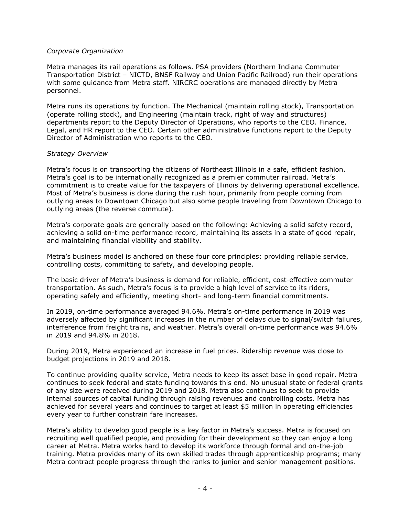#### *Corporate Organization*

Metra manages its rail operations as follows. PSA providers (Northern Indiana Commuter Transportation District – NICTD, BNSF Railway and Union Pacific Railroad) run their operations with some guidance from Metra staff. NIRCRC operations are managed directly by Metra personnel.

Metra runs its operations by function. The Mechanical (maintain rolling stock), Transportation (operate rolling stock), and Engineering (maintain track, right of way and structures) departments report to the Deputy Director of Operations, who reports to the CEO. Finance, Legal, and HR report to the CEO. Certain other administrative functions report to the Deputy Director of Administration who reports to the CEO.

#### *Strategy Overview*

Metra's focus is on transporting the citizens of Northeast Illinois in a safe, efficient fashion. Metra's goal is to be internationally recognized as a premier commuter railroad. Metra's commitment is to create value for the taxpayers of Illinois by delivering operational excellence. Most of Metra's business is done during the rush hour, primarily from people coming from outlying areas to Downtown Chicago but also some people traveling from Downtown Chicago to outlying areas (the reverse commute).

Metra's corporate goals are generally based on the following: Achieving a solid safety record, achieving a solid on-time performance record, maintaining its assets in a state of good repair, and maintaining financial viability and stability.

Metra's business model is anchored on these four core principles: providing reliable service, controlling costs, committing to safety, and developing people.

The basic driver of Metra's business is demand for reliable, efficient, cost-effective commuter transportation. As such, Metra's focus is to provide a high level of service to its riders, operating safely and efficiently, meeting short- and long-term financial commitments.

In 2019, on-time performance averaged 94.6%. Metra's on-time performance in 2019 was adversely affected by significant increases in the number of delays due to signal/switch failures, interference from freight trains, and weather. Metra's overall on-time performance was 94.6% in 2019 and 94.8% in 2018.

During 2019, Metra experienced an increase in fuel prices. Ridership revenue was close to budget projections in 2019 and 2018.

To continue providing quality service, Metra needs to keep its asset base in good repair. Metra continues to seek federal and state funding towards this end. No unusual state or federal grants of any size were received during 2019 and 2018. Metra also continues to seek to provide internal sources of capital funding through raising revenues and controlling costs. Metra has achieved for several years and continues to target at least \$5 million in operating efficiencies every year to further constrain fare increases.

Metra's ability to develop good people is a key factor in Metra's success. Metra is focused on recruiting well qualified people, and providing for their development so they can enjoy a long career at Metra. Metra works hard to develop its workforce through formal and on-the-job training. Metra provides many of its own skilled trades through apprenticeship programs; many Metra contract people progress through the ranks to junior and senior management positions.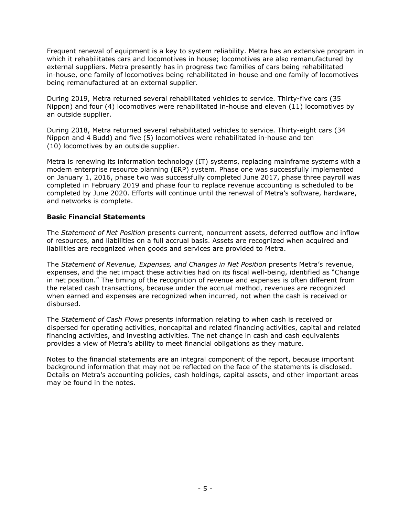Frequent renewal of equipment is a key to system reliability. Metra has an extensive program in which it rehabilitates cars and locomotives in house; locomotives are also remanufactured by external suppliers. Metra presently has in progress two families of cars being rehabilitated in-house, one family of locomotives being rehabilitated in-house and one family of locomotives being remanufactured at an external supplier.

During 2019, Metra returned several rehabilitated vehicles to service. Thirty-five cars (35 Nippon) and four (4) locomotives were rehabilitated in-house and eleven (11) locomotives by an outside supplier.

During 2018, Metra returned several rehabilitated vehicles to service. Thirty-eight cars (34 Nippon and 4 Budd) and five (5) locomotives were rehabilitated in-house and ten (10) locomotives by an outside supplier.

Metra is renewing its information technology (IT) systems, replacing mainframe systems with a modern enterprise resource planning (ERP) system. Phase one was successfully implemented on January 1, 2016, phase two was successfully completed June 2017, phase three payroll was completed in February 2019 and phase four to replace revenue accounting is scheduled to be completed by June 2020. Efforts will continue until the renewal of Metra's software, hardware, and networks is complete.

### **Basic Financial Statements**

The *Statement of Net Position* presents current, noncurrent assets, deferred outflow and inflow of resources, and liabilities on a full accrual basis. Assets are recognized when acquired and liabilities are recognized when goods and services are provided to Metra.

The *Statement of Revenue, Expenses, and Changes in Net Position* presents Metra's revenue, expenses, and the net impact these activities had on its fiscal well-being, identified as "Change in net position." The timing of the recognition of revenue and expenses is often different from the related cash transactions, because under the accrual method, revenues are recognized when earned and expenses are recognized when incurred, not when the cash is received or disbursed.

The *Statement of Cash Flows* presents information relating to when cash is received or dispersed for operating activities, noncapital and related financing activities, capital and related financing activities, and investing activities. The net change in cash and cash equivalents provides a view of Metra's ability to meet financial obligations as they mature.

Notes to the financial statements are an integral component of the report, because important background information that may not be reflected on the face of the statements is disclosed. Details on Metra's accounting policies, cash holdings, capital assets, and other important areas may be found in the notes.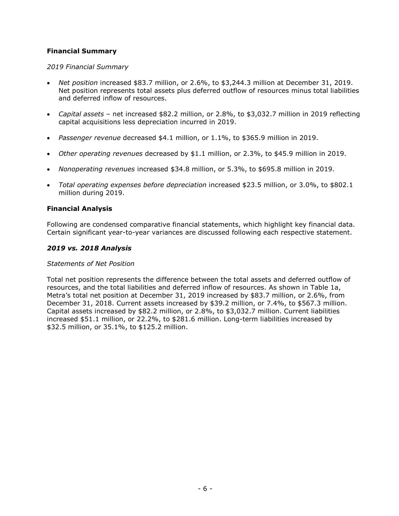### **Financial Summary**

#### *2019 Financial Summary*

- *Net position* increased \$83.7 million, or 2.6%, to \$3,244.3 million at December 31, 2019. Net position represents total assets plus deferred outflow of resources minus total liabilities and deferred inflow of resources.
- *Capital assets* net increased \$82.2 million, or 2.8%, to \$3,032.7 million in 2019 reflecting capital acquisitions less depreciation incurred in 2019.
- *Passenger revenue* decreased \$4.1 million, or 1.1%, to \$365.9 million in 2019.
- *Other operating revenues* decreased by \$1.1 million, or 2.3%, to \$45.9 million in 2019.
- *Nonoperating revenues* increased \$34.8 million, or 5.3%, to \$695.8 million in 2019.
- *Total operating expenses before depreciation* increased \$23.5 million, or 3.0%, to \$802.1 million during 2019.

### **Financial Analysis**

Following are condensed comparative financial statements, which highlight key financial data. Certain significant year-to-year variances are discussed following each respective statement.

### *2019 vs. 2018 Analysis*

#### *Statements of Net Position*

Total net position represents the difference between the total assets and deferred outflow of resources, and the total liabilities and deferred inflow of resources. As shown in Table 1a, Metra's total net position at December 31, 2019 increased by \$83.7 million, or 2.6%, from December 31, 2018. Current assets increased by \$39.2 million, or 7.4%, to \$567.3 million. Capital assets increased by \$82.2 million, or 2.8%, to \$3,032.7 million. Current liabilities increased \$51.1 million, or 22.2%, to \$281.6 million. Long-term liabilities increased by \$32.5 million, or 35.1%, to \$125.2 million.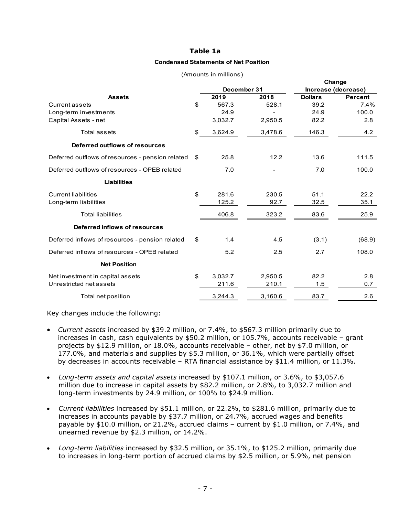#### **Table 1a**

#### **Condensed Statements of Net Position**

| (Amounts in millions) |  |  |  |
|-----------------------|--|--|--|
|-----------------------|--|--|--|

|                                                  |               |             | Change              |                |
|--------------------------------------------------|---------------|-------------|---------------------|----------------|
|                                                  |               | December 31 | Increase (decrease) |                |
| <b>Assets</b>                                    | 2019          | 2018        | <b>Dollars</b>      | <b>Percent</b> |
| Current assets                                   | \$<br>567.3   | 528.1       | 39.2                | 7.4%           |
| Long-term investments                            | 24.9          |             | 24.9                | 100.0          |
| Capital Assets - net                             | 3,032.7       | 2,950.5     | 82.2                | 2.8            |
| <b>Total assets</b>                              | \$<br>3,624.9 | 3,478.6     | 146.3               | 4.2            |
| Deferred outflows of resources                   |               |             |                     |                |
| Deferred outflows of resources - pension related | \$<br>25.8    | 12.2        | 13.6                | 111.5          |
| Deferred outflows of resources - OPEB related    | 7.0           |             | 7.0                 | 100.0          |
| <b>Liabilities</b>                               |               |             |                     |                |
| <b>Current liabilities</b>                       | \$<br>281.6   | 230.5       | 51.1                | 22.2           |
| Long-term liabilities                            | 125.2         | 92.7        | 32.5                | 35.1           |
| <b>Total liabilities</b>                         | 406.8         | 323.2       | 83.6                | 25.9           |
| Deferred inflows of resources                    |               |             |                     |                |
| Deferred inflows of resources - pension related  | \$<br>1.4     | 4.5         | (3.1)               | (68.9)         |
| Deferred inflows of resources - OPEB related     | 5.2           | 2.5         | 2.7                 | 108.0          |
| <b>Net Position</b>                              |               |             |                     |                |
| Net investment in capital assets                 | \$<br>3,032.7 | 2,950.5     | 82.2                | 2.8            |
| Unrestricted net assets                          | 211.6         | 210.1       | 1.5                 | 0.7            |
| Total net position                               | 3,244.3       | 3,160.6     | 83.7                | 2.6            |

Key changes include the following:

- *Current assets* increased by \$39.2 million, or 7.4%, to \$567.3 million primarily due to increases in cash, cash equivalents by \$50.2 million, or 105.7%, accounts receivable – grant projects by \$12.9 million, or 18.0%, accounts receivable – other, net by \$7.0 million, or 177.0%, and materials and supplies by \$5.3 million, or 36.1%, which were partially offset by decreases in accounts receivable – RTA financial assistance by \$11.4 million, or 11.3%.
- *Long-term assets and capital assets* increased by \$107.1 million, or 3.6%, to \$3,057.6 million due to increase in capital assets by \$82.2 million, or 2.8%, to 3,032.7 million and long-term investments by 24.9 million, or 100% to \$24.9 million.
- *Current liabilities* increased by \$51.1 million, or 22.2%, to \$281.6 million, primarily due to increases in accounts payable by \$37.7 million, or 24.7%, accrued wages and benefits payable by \$10.0 million, or 21.2%, accrued claims – current by \$1.0 million, or 7.4%, and unearned revenue by \$2.3 million, or 14.2%.
- *Long-term liabilities* increased by \$32.5 million, or 35.1%, to \$125.2 million, primarily due to increases in long-term portion of accrued claims by \$2.5 million, or 5.9%, net pension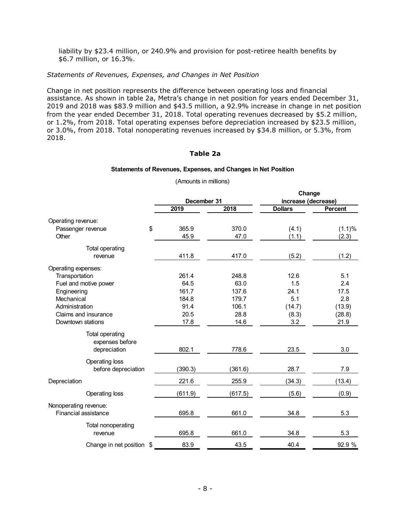liability by \$23.4 million, or 240.9% and provision for post-retiree health benefits by \$6.7 million, or 16.3%.

*Statements of Revenues, Expenses, and Changes in Net Position*

Change in net position represents the difference between operating loss and financial assistance. As shown in table 2a, Metra's change in net position for years ended December 31, 2019 and 2018 was \$83.9 million and \$43.5 million, a 92.9% increase in change in net position from the year ended December 31, 2018. Total operating revenues decreased by \$5.2 million, or 1.2%, from 2018. Total operating expenses before depreciation increased by \$23.5 million, or 3.0%, from 2018. Total nonoperating revenues increased by \$34.8 million, or 5.3%, from 2018.

### **Table 2a**

#### **Statements of Revenues, Expenses, and Changes in Net Position**

#### (Amounts in millions)

|                                    |             |         | Change              |                |
|------------------------------------|-------------|---------|---------------------|----------------|
|                                    | December 31 |         | increase (decrease) |                |
|                                    | 2019        | 2018    | <b>Dollars</b>      | <b>Percent</b> |
| Operating revenue:                 |             |         |                     |                |
| \$<br>Passenger revenue            | 365.9       | 370.0   | (4.1)               | (1.1)%         |
| Other                              | 45.9        | 47.0    | (1.1)               | (2.3)          |
| Total operating                    |             |         |                     |                |
| revenue                            | 411.8       | 417.0   | (5.2)               | (1.2)          |
| Operating expenses:                |             |         |                     |                |
| Transportation                     | 261.4       | 248.8   | 12.6                | 5.1            |
| Fuel and motive power              | 64.5        | 63.0    | 1.5                 | 2.4            |
| Engineering                        | 161.7       | 137.6   | 24.1                | 17.5           |
| Mechanical                         | 184.8       | 179.7   | 5.1                 | 2.8            |
| Administration                     | 91.4        | 106.1   | (14.7)              | (13.9)         |
| Claims and insurance               | 20.5        | 28.8    | (8.3)               | (28.8)         |
| Downtown stations                  | 17.8        | 14.6    | 3.2                 | 21.9           |
| Total operating<br>expenses before |             |         |                     |                |
| depreciation                       | 802.1       | 778.6   | 23.5                | 3.0            |
| Operating loss                     |             |         |                     |                |
| before depreciation                | (390.3)     | (361.6) | 28.7                | 7.9            |
| Depreciation                       | 221.6       | 255.9   | (34.3)              | (13.4)         |
| Operating loss                     | (611.9)     | (617.5) | (5.6)               | (0.9)          |
| Nonoperating revenue:              |             |         |                     |                |
| Financial assistance               | 695.8       | 661.0   | 34.8                | 5.3            |
| Total nonoperating                 |             |         |                     |                |
| revenue                            | 695.8       | 661.0   | 34.8                | 5.3            |
| Change in net position<br>S        | 83.9        | 43.5    | 40.4                | 92.9 %         |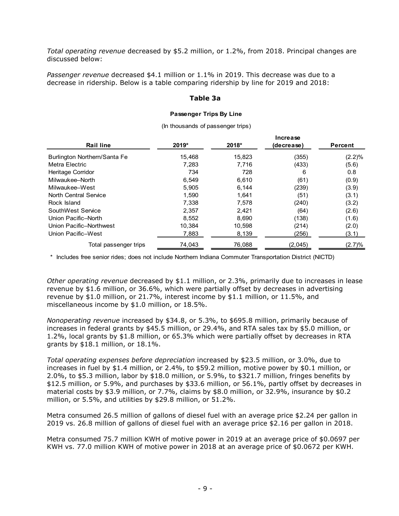*Total operating revenue* decreased by \$5.2 million, or 1.2%, from 2018. Principal changes are discussed below:

*Passenger revenue* decreased \$4.1 million or 1.1% in 2019. This decrease was due to a decrease in ridership. Below is a table comparing ridership by line for 2019 and 2018:

#### **Table 3a**

#### **Passenger Trips By Line**

(In thousands of passenger trips)

|                              |        |        | Increase   |         |
|------------------------------|--------|--------|------------|---------|
| <b>Rail line</b>             | 2019*  | 2018*  | (decrease) | Percent |
| Burlington Northern/Santa Fe | 15.468 | 15,823 | (355)      | (2.2)%  |
| Metra Electric               | 7,283  | 7.716  | (433)      | (5.6)   |
| Heritage Corridor            | 734    | 728    | 6          | 0.8     |
| Milwaukee-North              | 6,549  | 6,610  | (61)       | (0.9)   |
| Milwaukee-West               | 5,905  | 6,144  | (239)      | (3.9)   |
| North Central Service        | 1,590  | 1.641  | (51)       | (3.1)   |
| Rock Island                  | 7,338  | 7.578  | (240)      | (3.2)   |
| SouthWest Service            | 2,357  | 2,421  | (64)       | (2.6)   |
| Union Pacific-North          | 8,552  | 8,690  | (138)      | (1.6)   |
| Union Pacific-Northwest      | 10,384 | 10,598 | (214)      | (2.0)   |
| Union Pacific-West           | 7,883  | 8,139  | (256)      | (3.1)   |
| Total passenger trips        | 74,043 | 76,088 | (2,045)    | (2.7)%  |

\* Includes free senior rides; does not include Northern Indiana Commuter Transportation District (NICTD)

*Other operating revenue* decreased by \$1.1 million, or 2.3%, primarily due to increases in lease revenue by \$1.6 million, or 36.6%, which were partially offset by decreases in advertising revenue by \$1.0 million, or 21.7%, interest income by \$1.1 million, or 11.5%, and miscellaneous income by \$1.0 million, or 18.5%.

*Nonoperating revenue* increased by \$34.8, or 5.3%, to \$695.8 million, primarily because of increases in federal grants by \$45.5 million, or 29.4%, and RTA sales tax by \$5.0 million, or 1.2%, local grants by \$1.8 million, or 65.3% which were partially offset by decreases in RTA grants by \$18.1 million, or 18.1%.

*Total operating expenses before depreciation* increased by \$23.5 million, or 3.0%, due to increases in fuel by \$1.4 million, or 2.4%, to \$59.2 million, motive power by \$0.1 million, or 2.0%, to \$5.3 million, labor by \$18.0 million, or 5.9%, to \$321.7 million, fringes benefits by \$12.5 million, or 5.9%, and purchases by \$33.6 million, or 56.1%, partly offset by decreases in material costs by \$3.9 million, or 7.7%, claims by \$8.0 million, or 32.9%, insurance by \$0.2 million, or 5.5%, and utilities by \$29.8 million, or 51.2%.

Metra consumed 26.5 million of gallons of diesel fuel with an average price \$2.24 per gallon in 2019 vs. 26.8 million of gallons of diesel fuel with an average price \$2.16 per gallon in 2018.

Metra consumed 75.7 million KWH of motive power in 2019 at an average price of \$0.0697 per KWH vs. 77.0 million KWH of motive power in 2018 at an average price of \$0.0672 per KWH.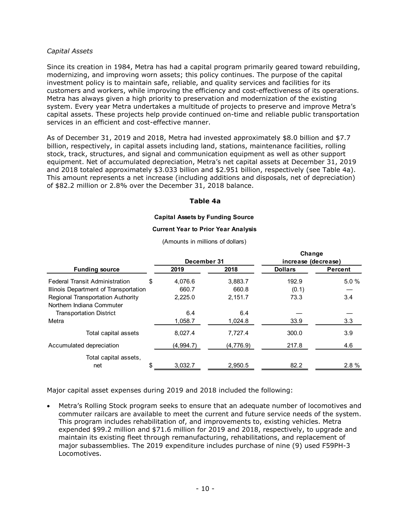#### *Capital Assets*

Since its creation in 1984, Metra has had a capital program primarily geared toward rebuilding, modernizing, and improving worn assets; this policy continues. The purpose of the capital investment policy is to maintain safe, reliable, and quality services and facilities for its customers and workers, while improving the efficiency and cost-effectiveness of its operations. Metra has always given a high priority to preservation and modernization of the existing system. Every year Metra undertakes a multitude of projects to preserve and improve Metra's capital assets. These projects help provide continued on-time and reliable public transportation services in an efficient and cost-effective manner.

As of December 31, 2019 and 2018, Metra had invested approximately \$8.0 billion and \$7.7 billion, respectively, in capital assets including land, stations, maintenance facilities, rolling stock, track, structures, and signal and communication equipment as well as other support equipment. Net of accumulated depreciation, Metra's net capital assets at December 31, 2019 and 2018 totaled approximately \$3.033 billion and \$2.951 billion, respectively (see Table 4a). This amount represents a net increase (including additions and disposals, net of depreciation) of \$82.2 million or 2.8% over the December 31, 2018 balance.

#### **Table 4a**

#### **Capital Assets by Funding Source**

#### **Current Year to Prior Year Analysis**

|                                       |               |           | <b>Ullallye</b>     |         |
|---------------------------------------|---------------|-----------|---------------------|---------|
|                                       | December 31   |           | increase (decrease) |         |
| <b>Funding source</b>                 | 2019          | 2018      | <b>Dollars</b>      | Percent |
| <b>Federal Transit Administration</b> | \$<br>4.076.6 | 3.883.7   | 192.9               | 5.0%    |
| Illinois Department of Transportation | 660.7         | 660.8     | (0.1)               |         |
| Regional Transportation Authority     | 2,225.0       | 2,151.7   | 73.3                | 3.4     |
| Northern Indiana Commuter             |               |           |                     |         |
| <b>Transportation District</b>        | 6.4           | 6.4       |                     |         |
| Metra                                 | 1,058.7       | 1,024.8   | 33.9                | 3.3     |
| Total capital assets                  | 8.027.4       | 7.727.4   | 300.0               | 3.9     |
| Accumulated depreciation              | (4,994.7)     | (4,776.9) | 217.8               | 4.6     |
| Total capital assets,                 |               |           |                     |         |
| net                                   | \$<br>3.032.7 | 2,950.5   | 82.2                | 2.8%    |

#### (Amounts in millions of dollars)

**Change**

Major capital asset expenses during 2019 and 2018 included the following:

• Metra's Rolling Stock program seeks to ensure that an adequate number of locomotives and commuter railcars are available to meet the current and future service needs of the system. This program includes rehabilitation of, and improvements to, existing vehicles. Metra expended \$99.2 million and \$71.6 million for 2019 and 2018, respectively, to upgrade and maintain its existing fleet through remanufacturing, rehabilitations, and replacement of major subassemblies. The 2019 expenditure includes purchase of nine (9) used F59PH-3 Locomotives.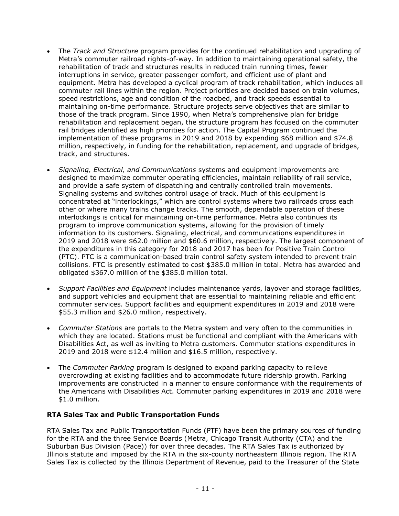- The *Track and Structure* program provides for the continued rehabilitation and upgrading of Metra's commuter railroad rights-of-way. In addition to maintaining operational safety, the rehabilitation of track and structures results in reduced train running times, fewer interruptions in service, greater passenger comfort, and efficient use of plant and equipment. Metra has developed a cyclical program of track rehabilitation, which includes all commuter rail lines within the region. Project priorities are decided based on train volumes, speed restrictions, age and condition of the roadbed, and track speeds essential to maintaining on-time performance. Structure projects serve objectives that are similar to those of the track program. Since 1990, when Metra's comprehensive plan for bridge rehabilitation and replacement began, the structure program has focused on the commuter rail bridges identified as high priorities for action. The Capital Program continued the implementation of these programs in 2019 and 2018 by expending \$68 million and \$74.8 million, respectively, in funding for the rehabilitation, replacement, and upgrade of bridges, track, and structures.
- *Signaling, Electrical, and Communications* systems and equipment improvements are designed to maximize commuter operating efficiencies, maintain reliability of rail service, and provide a safe system of dispatching and centrally controlled train movements. Signaling systems and switches control usage of track. Much of this equipment is concentrated at "interlockings," which are control systems where two railroads cross each other or where many trains change tracks. The smooth, dependable operation of these interlockings is critical for maintaining on-time performance. Metra also continues its program to improve communication systems, allowing for the provision of timely information to its customers. Signaling, electrical, and communications expenditures in 2019 and 2018 were \$62.0 million and \$60.6 million, respectively. The largest component of the expenditures in this category for 2018 and 2017 has been for Positive Train Control (PTC). PTC is a communication-based train control safety system intended to prevent train collisions. PTC is presently estimated to cost \$385.0 million in total. Metra has awarded and obligated \$367.0 million of the \$385.0 million total.
- *Support Facilities and Equipment* includes maintenance yards, layover and storage facilities, and support vehicles and equipment that are essential to maintaining reliable and efficient commuter services. Support facilities and equipment expenditures in 2019 and 2018 were \$55.3 million and \$26.0 million, respectively.
- *Commuter Stations* are portals to the Metra system and very often to the communities in which they are located. Stations must be functional and compliant with the Americans with Disabilities Act, as well as inviting to Metra customers. Commuter stations expenditures in 2019 and 2018 were \$12.4 million and \$16.5 million, respectively.
- The *Commuter Parking* program is designed to expand parking capacity to relieve overcrowding at existing facilities and to accommodate future ridership growth. Parking improvements are constructed in a manner to ensure conformance with the requirements of the Americans with Disabilities Act. Commuter parking expenditures in 2019 and 2018 were \$1.0 million.

### **RTA Sales Tax and Public Transportation Funds**

RTA Sales Tax and Public Transportation Funds (PTF) have been the primary sources of funding for the RTA and the three Service Boards (Metra, Chicago Transit Authority (CTA) and the Suburban Bus Division (Pace)) for over three decades. The RTA Sales Tax is authorized by Illinois statute and imposed by the RTA in the six-county northeastern Illinois region. The RTA Sales Tax is collected by the Illinois Department of Revenue, paid to the Treasurer of the State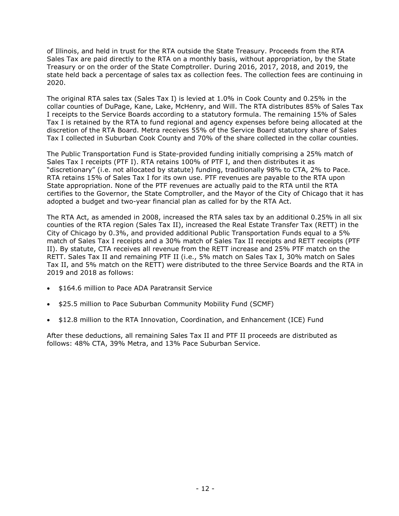of Illinois, and held in trust for the RTA outside the State Treasury. Proceeds from the RTA Sales Tax are paid directly to the RTA on a monthly basis, without appropriation, by the State Treasury or on the order of the State Comptroller. During 2016, 2017, 2018, and 2019, the state held back a percentage of sales tax as collection fees. The collection fees are continuing in 2020.

The original RTA sales tax (Sales Tax I) is levied at 1.0% in Cook County and 0.25% in the collar counties of DuPage, Kane, Lake, McHenry, and Will. The RTA distributes 85% of Sales Tax I receipts to the Service Boards according to a statutory formula. The remaining 15% of Sales Tax I is retained by the RTA to fund regional and agency expenses before being allocated at the discretion of the RTA Board. Metra receives 55% of the Service Board statutory share of Sales Tax I collected in Suburban Cook County and 70% of the share collected in the collar counties.

The Public Transportation Fund is State-provided funding initially comprising a 25% match of Sales Tax I receipts (PTF I). RTA retains 100% of PTF I, and then distributes it as "discretionary" (i.e. not allocated by statute) funding, traditionally 98% to CTA, 2% to Pace. RTA retains 15% of Sales Tax I for its own use. PTF revenues are payable to the RTA upon State appropriation. None of the PTF revenues are actually paid to the RTA until the RTA certifies to the Governor, the State Comptroller, and the Mayor of the City of Chicago that it has adopted a budget and two-year financial plan as called for by the RTA Act.

The RTA Act, as amended in 2008, increased the RTA sales tax by an additional 0.25% in all six counties of the RTA region (Sales Tax II), increased the Real Estate Transfer Tax (RETT) in the City of Chicago by 0.3%, and provided additional Public Transportation Funds equal to a 5% match of Sales Tax I receipts and a 30% match of Sales Tax II receipts and RETT receipts (PTF II). By statute, CTA receives all revenue from the RETT increase and 25% PTF match on the RETT. Sales Tax II and remaining PTF II (i.e., 5% match on Sales Tax I, 30% match on Sales Tax II, and 5% match on the RETT) were distributed to the three Service Boards and the RTA in 2019 and 2018 as follows:

- \$164.6 million to Pace ADA Paratransit Service
- \$25.5 million to Pace Suburban Community Mobility Fund (SCMF)
- \$12.8 million to the RTA Innovation, Coordination, and Enhancement (ICE) Fund

After these deductions, all remaining Sales Tax II and PTF II proceeds are distributed as follows: 48% CTA, 39% Metra, and 13% Pace Suburban Service.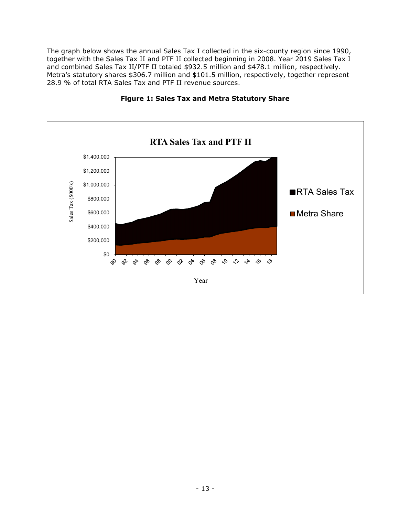The graph below shows the annual Sales Tax I collected in the six-county region since 1990, together with the Sales Tax II and PTF II collected beginning in 2008. Year 2019 Sales Tax I and combined Sales Tax II/PTF II totaled \$932.5 million and \$478.1 million, respectively. Metra's statutory shares \$306.7 million and \$101.5 million, respectively, together represent 28.9 % of total RTA Sales Tax and PTF II revenue sources.



**Figure 1: Sales Tax and Metra Statutory Share**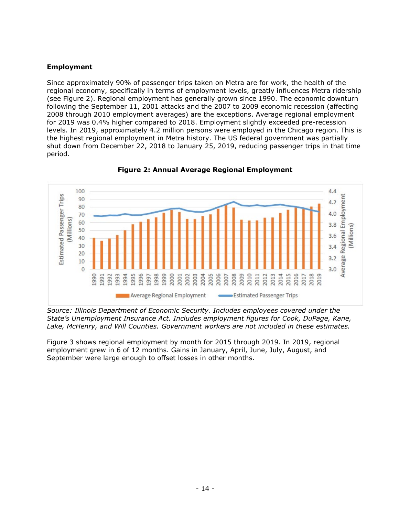### **Employment**

Since approximately 90% of passenger trips taken on Metra are for work, the health of the regional economy, specifically in terms of employment levels, greatly influences Metra ridership (see Figure 2). Regional employment has generally grown since 1990. The economic downturn following the September 11, 2001 attacks and the 2007 to 2009 economic recession (affecting 2008 through 2010 employment averages) are the exceptions. Average regional employment for 2019 was 0.4% higher compared to 2018. Employment slightly exceeded pre-recession levels. In 2019, approximately 4.2 million persons were employed in the Chicago region. This is the highest regional employment in Metra history. The US federal government was partially shut down from December 22, 2018 to January 25, 2019, reducing passenger trips in that time period.



**Figure 2: Annual Average Regional Employment**

*Source: Illinois Department of Economic Security. Includes employees covered under the State's Unemployment Insurance Act. Includes employment figures for Cook, DuPage, Kane, Lake, McHenry, and Will Counties. Government workers are not included in these estimates.*

Figure 3 shows regional employment by month for 2015 through 2019. In 2019, regional employment grew in 6 of 12 months. Gains in January, April, June, July, August, and September were large enough to offset losses in other months.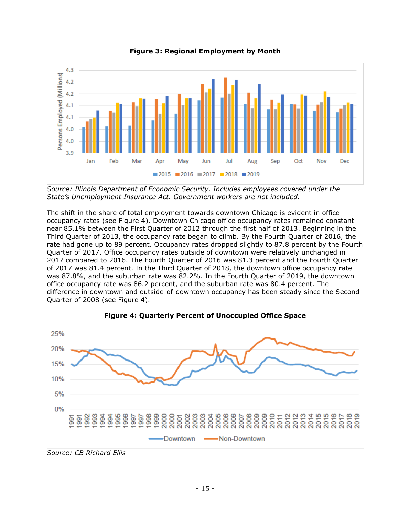

**Figure 3: Regional Employment by Month**

*Source: Illinois Department of Economic Security. Includes employees covered under the State's Unemployment Insurance Act. Government workers are not included.*

The shift in the share of total employment towards downtown Chicago is evident in office occupancy rates (see Figure 4). Downtown Chicago office occupancy rates remained constant near 85.1% between the First Quarter of 2012 through the first half of 2013. Beginning in the Third Quarter of 2013, the occupancy rate began to climb. By the Fourth Quarter of 2016, the rate had gone up to 89 percent. Occupancy rates dropped slightly to 87.8 percent by the Fourth Quarter of 2017. Office occupancy rates outside of downtown were relatively unchanged in 2017 compared to 2016. The Fourth Quarter of 2016 was 81.3 percent and the Fourth Quarter of 2017 was 81.4 percent. In the Third Quarter of 2018, the downtown office occupancy rate was 87.8%, and the suburban rate was 82.2%. In the Fourth Quarter of 2019, the downtown office occupancy rate was 86.2 percent, and the suburban rate was 80.4 percent. The difference in downtown and outside-of-downtown occupancy has been steady since the Second Quarter of 2008 (see Figure 4).





*Source: CB Richard Ellis*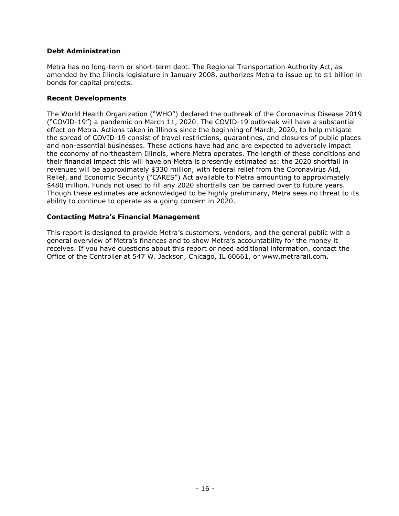### **Debt Administration**

Metra has no long-term or short-term debt. The Regional Transportation Authority Act, as amended by the Illinois legislature in January 2008, authorizes Metra to issue up to \$1 billion in bonds for capital projects.

#### **Recent Developments**

The World Health Organization ("WHO") declared the outbreak of the Coronavirus Disease 2019 ("COVID-19") a pandemic on March 11, 2020. The COVID-19 outbreak will have a substantial effect on Metra. Actions taken in Illinois since the beginning of March, 2020, to help mitigate the spread of COVID-19 consist of travel restrictions, quarantines, and closures of public places and non-essential businesses. These actions have had and are expected to adversely impact the economy of northeastern Illinois, where Metra operates. The length of these conditions and their financial impact this will have on Metra is presently estimated as: the 2020 shortfall in revenues will be approximately \$330 million, with federal relief from the Coronavirus Aid, Relief, and Economic Security ("CARES") Act available to Metra amounting to approximately \$480 million. Funds not used to fill any 2020 shortfalls can be carried over to future years. Though these estimates are acknowledged to be highly preliminary, Metra sees no threat to its ability to continue to operate as a going concern in 2020.

### **Contacting Metra's Financial Management**

This report is designed to provide Metra's customers, vendors, and the general public with a general overview of Metra's finances and to show Metra's accountability for the money it receives. If you have questions about this report or need additional information, contact the Office of the Controller at 547 W. Jackson, Chicago, IL 60661, or www.metrarail.com.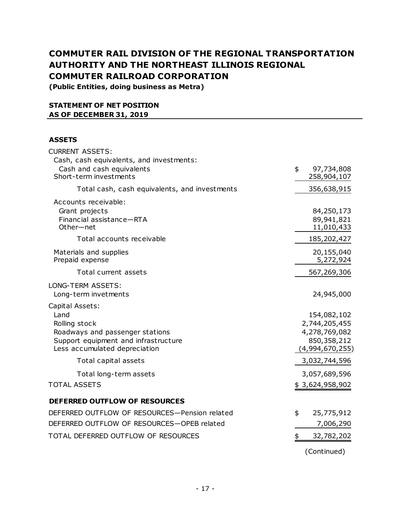**(Public Entities, doing business as Metra)**

### **STATEMENT OF NET POSITION AS OF DECEMBER 31, 2019**

### **ASSETS**

| <b>CURRENT ASSETS:</b>                                                                                                                                                                                 |                                                                                                                   |
|--------------------------------------------------------------------------------------------------------------------------------------------------------------------------------------------------------|-------------------------------------------------------------------------------------------------------------------|
| Cash, cash equivalents, and investments:<br>Cash and cash equivalents<br>Short-term investments                                                                                                        | \$<br>97,734,808<br>258,904,107                                                                                   |
| Total cash, cash equivalents, and investments                                                                                                                                                          | 356,638,915                                                                                                       |
| Accounts receivable:<br>Grant projects<br>Financial assistance-RTA<br>Other-net<br>Total accounts receivable                                                                                           | 84,250,173<br>89,941,821<br>11,010,433<br>185,202,427                                                             |
|                                                                                                                                                                                                        |                                                                                                                   |
| Materials and supplies<br>Prepaid expense                                                                                                                                                              | 20,155,040<br>5,272,924                                                                                           |
| Total current assets                                                                                                                                                                                   | 567,269,306                                                                                                       |
| LONG-TERM ASSETS:<br>Long-term invetments                                                                                                                                                              | 24,945,000                                                                                                        |
| Capital Assets:<br>Land<br>Rolling stock<br>Roadways and passenger stations<br>Support equipment and infrastructure<br>Less accumulated depreciation<br>Total capital assets<br>Total long-term assets | 154,082,102<br>2,744,205,455<br>4,278,769,082<br>850,358,212<br>(4,994,670,255)<br>3,032,744,596<br>3,057,689,596 |
| <b>TOTAL ASSETS</b>                                                                                                                                                                                    | \$3,624,958,902                                                                                                   |
| DEFERRED OUTFLOW OF RESOURCES                                                                                                                                                                          |                                                                                                                   |
| DEFERRED OUTFLOW OF RESOURCES-Pension related<br>DEFERRED OUTFLOW OF RESOURCES-OPEB related<br>TOTAL DEFERRED OUTFLOW OF RESOURCES                                                                     | \$<br>25,775,912<br>7,006,290<br>32,782,202<br>\$                                                                 |
|                                                                                                                                                                                                        | (Continued)                                                                                                       |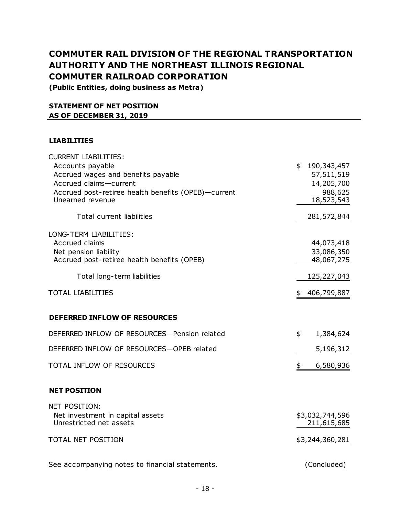**(Public Entities, doing business as Metra)**

### **STATEMENT OF NET POSITION AS OF DECEMBER 31, 2019**

### **LIABILITIES**

| <b>CURRENT LIABILITIES:</b>                         |                   |
|-----------------------------------------------------|-------------------|
| Accounts payable                                    | 190,343,457<br>\$ |
| Accrued wages and benefits payable                  | 57,511,519        |
| Accrued claims-current                              | 14,205,700        |
| Accrued post-retiree health benefits (OPEB)-current | 988,625           |
| Unearned revenue                                    | 18,523,543        |
| Total current liabilities                           | 281,572,844       |
| LONG-TERM LIABILITIES:                              |                   |
| Accrued claims                                      | 44,073,418        |
| Net pension liability                               | 33,086,350        |
| Accrued post-retiree health benefits (OPEB)         | 48,067,275        |
| Total long-term liabilities                         | 125,227,043       |
| <b>TOTAL LIABILITIES</b>                            | 406,799,887       |
|                                                     |                   |
| DEFERRED INFLOW OF RESOURCES                        |                   |
| DEFERRED INFLOW OF RESOURCES-Pension related        | \$<br>1,384,624   |
| DEFERRED INFLOW OF RESOURCES-OPEB related           | 5,196,312         |
| TOTAL INFLOW OF RESOURCES                           | 6,580,936<br>\$   |
| <b>NET POSITION</b>                                 |                   |
| NET POSITION:                                       |                   |
| Net investment in capital assets                    | \$3,032,744,596   |
| Unrestricted net assets                             | 211,615,685       |
| TOTAL NET POSITION                                  | \$3,244,360,281   |
| See accompanying notes to financial statements.     | (Concluded)       |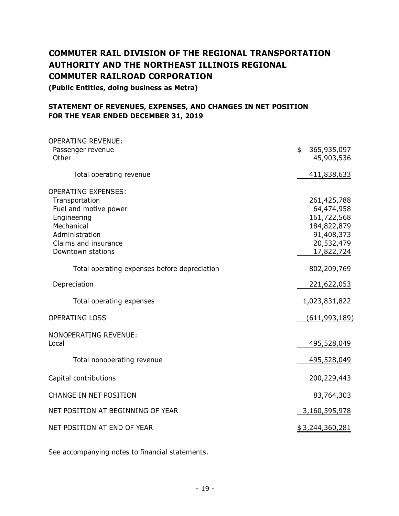**(Public Entities, doing business as Metra)**

### **STATEMENT OF REVENUES, EXPENSES, AND CHANGES IN NET POSITION FOR THE YEAR ENDED DECEMBER 31, 2019**

| <b>OPERATING REVENUE:</b><br>Passenger revenue<br>Other                                                                                                           | 365,935,097<br>\$<br>45,903,536                                                                   |
|-------------------------------------------------------------------------------------------------------------------------------------------------------------------|---------------------------------------------------------------------------------------------------|
| Total operating revenue                                                                                                                                           | 411,838,633                                                                                       |
| <b>OPERATING EXPENSES:</b><br>Transportation<br>Fuel and motive power<br>Engineering<br>Mechanical<br>Administration<br>Claims and insurance<br>Downtown stations | 261,425,788<br>64,474,958<br>161,722,568<br>184,822,879<br>91,408,373<br>20,532,479<br>17,822,724 |
| Total operating expenses before depreciation                                                                                                                      | 802,209,769                                                                                       |
| Depreciation                                                                                                                                                      | 221,622,053                                                                                       |
| Total operating expenses                                                                                                                                          | 1,023,831,822                                                                                     |
| <b>OPERATING LOSS</b>                                                                                                                                             | (611, 993, 189)                                                                                   |
| <b>NONOPERATING REVENUE:</b><br>Local                                                                                                                             | 495,528,049                                                                                       |
| Total nonoperating revenue                                                                                                                                        | 495,528,049                                                                                       |
| Capital contributions                                                                                                                                             | 200,229,443                                                                                       |
| CHANGE IN NET POSITION                                                                                                                                            | 83,764,303                                                                                        |
| NET POSITION AT BEGINNING OF YEAR                                                                                                                                 | 3,160,595,978                                                                                     |
| NET POSITION AT END OF YEAR                                                                                                                                       | \$3,244,360,281                                                                                   |

See accompanying notes to financial statements.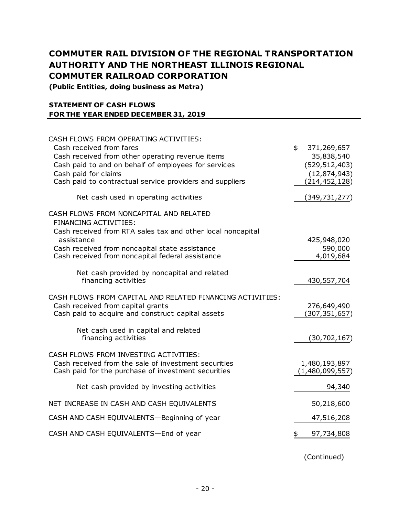**(Public Entities, doing business as Metra)**

### **STATEMENT OF CASH FLOWS FOR THE YEAR ENDED DECEMBER 31, 2019**

| CASH FLOWS FROM OPERATING ACTIVITIES:<br>Cash received from fares<br>Cash received from other operating revenue items<br>Cash paid to and on behalf of employees for services<br>Cash paid for claims<br>Cash paid to contractual service providers and suppliers | \$<br>371,269,657<br>35,838,540<br>(529, 512, 403)<br>(12, 874, 943)<br>(214,452,128) |
|-------------------------------------------------------------------------------------------------------------------------------------------------------------------------------------------------------------------------------------------------------------------|---------------------------------------------------------------------------------------|
| Net cash used in operating activities                                                                                                                                                                                                                             | (349,731,277)                                                                         |
| CASH FLOWS FROM NONCAPITAL AND RELATED<br><b>FINANCING ACTIVITIES:</b><br>Cash received from RTA sales tax and other local noncapital<br>assistance<br>Cash received from noncapital state assistance<br>Cash received from noncapital federal assistance         | 425,948,020<br>590,000<br>4,019,684                                                   |
| Net cash provided by noncapital and related<br>financing activities                                                                                                                                                                                               | 430,557,704                                                                           |
| CASH FLOWS FROM CAPITAL AND RELATED FINANCING ACTIVITIES:<br>Cash received from capital grants<br>Cash paid to acquire and construct capital assets                                                                                                               | 276,649,490<br>(307, 351, 657)                                                        |
| Net cash used in capital and related<br>financing activities                                                                                                                                                                                                      | (30, 702, 167)                                                                        |
| CASH FLOWS FROM INVESTING ACTIVITIES:<br>Cash received from the sale of investment securities<br>Cash paid for the purchase of investment securities                                                                                                              | 1,480,193,897<br>(1,480,099,557)                                                      |
| Net cash provided by investing activities                                                                                                                                                                                                                         | 94,340                                                                                |
| NET INCREASE IN CASH AND CASH EQUIVALENTS                                                                                                                                                                                                                         | 50,218,600                                                                            |
| CASH AND CASH EQUIVALENTS-Beginning of year                                                                                                                                                                                                                       | 47,516,208                                                                            |
| CASH AND CASH EQUIVALENTS-End of year                                                                                                                                                                                                                             | 97,734,808                                                                            |

(Continued)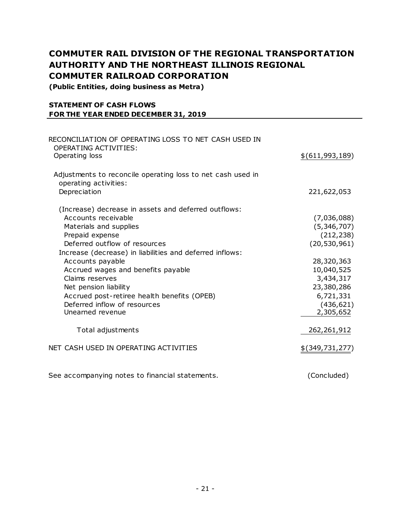**(Public Entities, doing business as Metra)**

### **STATEMENT OF CASH FLOWS FOR THE YEAR ENDED DECEMBER 31, 2019**

| RECONCILIATION OF OPERATING LOSS TO NET CASH USED IN<br><b>OPERATING ACTIVITIES:</b><br>Operating loss                                                                                                                                                                                                                                                                                                                         | \$(611, 993, 189)                                                                                                                                           |
|--------------------------------------------------------------------------------------------------------------------------------------------------------------------------------------------------------------------------------------------------------------------------------------------------------------------------------------------------------------------------------------------------------------------------------|-------------------------------------------------------------------------------------------------------------------------------------------------------------|
| Adjustments to reconcile operating loss to net cash used in<br>operating activities:<br>Depreciation                                                                                                                                                                                                                                                                                                                           | 221,622,053                                                                                                                                                 |
| (Increase) decrease in assets and deferred outflows:<br>Accounts receivable<br>Materials and supplies<br>Prepaid expense<br>Deferred outflow of resources<br>Increase (decrease) in liabilities and deferred inflows:<br>Accounts payable<br>Accrued wages and benefits payable<br>Claims reserves<br>Net pension liability<br>Accrued post-retiree health benefits (OPEB)<br>Deferred inflow of resources<br>Unearned revenue | (7,036,088)<br>(5, 346, 707)<br>(212, 238)<br>(20, 530, 961)<br>28,320,363<br>10,040,525<br>3,434,317<br>23,380,286<br>6,721,331<br>(436, 621)<br>2,305,652 |
| Total adjustments                                                                                                                                                                                                                                                                                                                                                                                                              | 262, 261, 912                                                                                                                                               |
| NET CASH USED IN OPERATING ACTIVITIES                                                                                                                                                                                                                                                                                                                                                                                          | <u>\$(349,731,277)</u>                                                                                                                                      |
| See accompanying notes to financial statements.                                                                                                                                                                                                                                                                                                                                                                                | (Concluded)                                                                                                                                                 |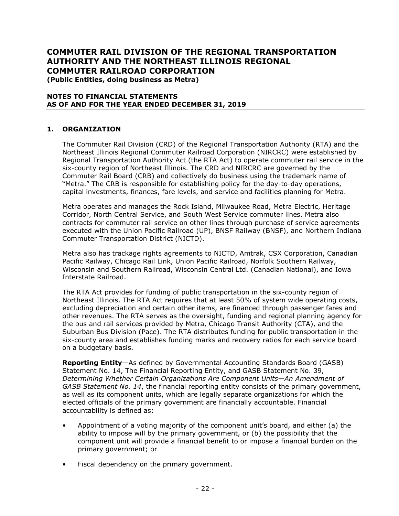**(Public Entities, doing business as Metra)**

#### **NOTES TO FINANCIAL STATEMENTS AS OF AND FOR THE YEAR ENDED DECEMBER 31, 2019**

### **1. ORGANIZATION**

The Commuter Rail Division (CRD) of the Regional Transportation Authority (RTA) and the Northeast Illinois Regional Commuter Railroad Corporation (NIRCRC) were established by Regional Transportation Authority Act (the RTA Act) to operate commuter rail service in the six-county region of Northeast Illinois. The CRD and NIRCRC are governed by the Commuter Rail Board (CRB) and collectively do business using the trademark name of "Metra." The CRB is responsible for establishing policy for the day-to-day operations, capital investments, finances, fare levels, and service and facilities planning for Metra.

Metra operates and manages the Rock Island, Milwaukee Road, Metra Electric, Heritage Corridor, North Central Service, and South West Service commuter lines. Metra also contracts for commuter rail service on other lines through purchase of service agreements executed with the Union Pacific Railroad (UP), BNSF Railway (BNSF), and Northern Indiana Commuter Transportation District (NICTD).

Metra also has trackage rights agreements to NICTD, Amtrak, CSX Corporation, Canadian Pacific Railway, Chicago Rail Link, Union Pacific Railroad, Norfolk Southern Railway, Wisconsin and Southern Railroad, Wisconsin Central Ltd. (Canadian National), and Iowa Interstate Railroad.

The RTA Act provides for funding of public transportation in the six-county region of Northeast Illinois. The RTA Act requires that at least 50% of system wide operating costs, excluding depreciation and certain other items, are financed through passenger fares and other revenues. The RTA serves as the oversight, funding and regional planning agency for the bus and rail services provided by Metra, Chicago Transit Authority (CTA), and the Suburban Bus Division (Pace). The RTA distributes funding for public transportation in the six-county area and establishes funding marks and recovery ratios for each service board on a budgetary basis.

**Reporting Entity**—As defined by Governmental Accounting Standards Board (GASB) Statement No. 14, The Financial Reporting Entity, and GASB Statement No. 39, *Determining Whether Certain Organizations Are Component Units—An Amendment of GASB Statement No. 14*, the financial reporting entity consists of the primary government, as well as its component units, which are legally separate organizations for which the elected officials of the primary government are financially accountable. Financial accountability is defined as:

- Appointment of a voting majority of the component unit's board, and either (a) the ability to impose will by the primary government, or (b) the possibility that the component unit will provide a financial benefit to or impose a financial burden on the primary government; or
- Fiscal dependency on the primary government.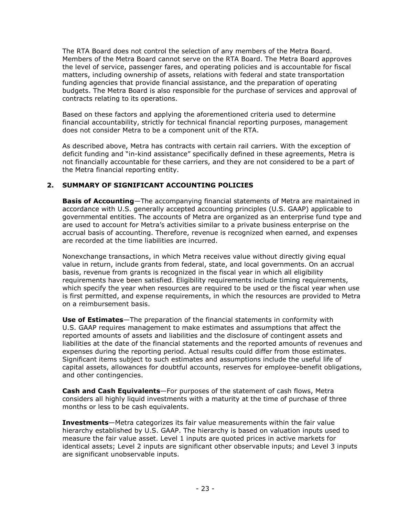The RTA Board does not control the selection of any members of the Metra Board. Members of the Metra Board cannot serve on the RTA Board. The Metra Board approves the level of service, passenger fares, and operating policies and is accountable for fiscal matters, including ownership of assets, relations with federal and state transportation funding agencies that provide financial assistance, and the preparation of operating budgets. The Metra Board is also responsible for the purchase of services and approval of contracts relating to its operations.

Based on these factors and applying the aforementioned criteria used to determine financial accountability, strictly for technical financial reporting purposes, management does not consider Metra to be a component unit of the RTA.

As described above, Metra has contracts with certain rail carriers. With the exception of deficit funding and "in-kind assistance" specifically defined in these agreements, Metra is not financially accountable for these carriers, and they are not considered to be a part of the Metra financial reporting entity.

### **2. SUMMARY OF SIGNIFICANT ACCOUNTING POLICIES**

**Basis of Accounting**—The accompanying financial statements of Metra are maintained in accordance with U.S. generally accepted accounting principles (U.S. GAAP) applicable to governmental entities. The accounts of Metra are organized as an enterprise fund type and are used to account for Metra's activities similar to a private business enterprise on the accrual basis of accounting. Therefore, revenue is recognized when earned, and expenses are recorded at the time liabilities are incurred.

Nonexchange transactions, in which Metra receives value without directly giving equal value in return, include grants from federal, state, and local governments. On an accrual basis, revenue from grants is recognized in the fiscal year in which all eligibility requirements have been satisfied. Eligibility requirements include timing requirements, which specify the year when resources are required to be used or the fiscal year when use is first permitted, and expense requirements, in which the resources are provided to Metra on a reimbursement basis.

**Use of Estimates**—The preparation of the financial statements in conformity with U.S. GAAP requires management to make estimates and assumptions that affect the reported amounts of assets and liabilities and the disclosure of contingent assets and liabilities at the date of the financial statements and the reported amounts of revenues and expenses during the reporting period. Actual results could differ from those estimates. Significant items subject to such estimates and assumptions include the useful life of capital assets, allowances for doubtful accounts, reserves for employee-benefit obligations, and other contingencies.

**Cash and Cash Equivalents**—For purposes of the statement of cash flows, Metra considers all highly liquid investments with a maturity at the time of purchase of three months or less to be cash equivalents.

**Investments**—Metra categorizes its fair value measurements within the fair value hierarchy established by U.S. GAAP. The hierarchy is based on valuation inputs used to measure the fair value asset. Level 1 inputs are quoted prices in active markets for identical assets; Level 2 inputs are significant other observable inputs; and Level 3 inputs are significant unobservable inputs.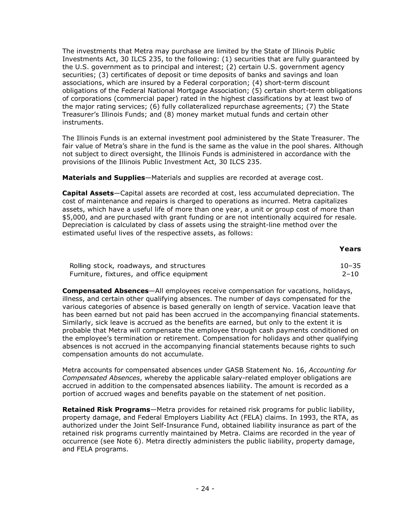The investments that Metra may purchase are limited by the State of Illinois Public Investments Act, 30 ILCS 235, to the following: (1) securities that are fully guaranteed by the U.S. government as to principal and interest; (2) certain U.S. government agency securities; (3) certificates of deposit or time deposits of banks and savings and loan associations, which are insured by a Federal corporation; (4) short-term discount obligations of the Federal National Mortgage Association; (5) certain short-term obligations of corporations (commercial paper) rated in the highest classifications by at least two of the major rating services; (6) fully collateralized repurchase agreements; (7) the State Treasurer's Illinois Funds; and (8) money market mutual funds and certain other instruments.

The Illinois Funds is an external investment pool administered by the State Treasurer. The fair value of Metra's share in the fund is the same as the value in the pool shares. Although not subject to direct oversight, the Illinois Funds is administered in accordance with the provisions of the Illinois Public Investment Act, 30 ILCS 235.

**Materials and Supplies**—Materials and supplies are recorded at average cost.

**Capital Assets**—Capital assets are recorded at cost, less accumulated depreciation. The cost of maintenance and repairs is charged to operations as incurred. Metra capitalizes assets, which have a useful life of more than one year, a unit or group cost of more than \$5,000, and are purchased with grant funding or are not intentionally acquired for resale. Depreciation is calculated by class of assets using the straight-line method over the estimated useful lives of the respective assets, as follows:

#### **Years**

| Rolling stock, roadways, and structures   | $10 - 35$ |
|-------------------------------------------|-----------|
| Furniture, fixtures, and office equipment | $2 - 10$  |

**Compensated Absences**—All employees receive compensation for vacations, holidays, illness, and certain other qualifying absences. The number of days compensated for the various categories of absence is based generally on length of service. Vacation leave that has been earned but not paid has been accrued in the accompanying financial statements. Similarly, sick leave is accrued as the benefits are earned, but only to the extent it is probable that Metra will compensate the employee through cash payments conditioned on the employee's termination or retirement. Compensation for holidays and other qualifying absences is not accrued in the accompanying financial statements because rights to such compensation amounts do not accumulate.

Metra accounts for compensated absences under GASB Statement No. 16, *Accounting for Compensated Absences*, whereby the applicable salary-related employer obligations are accrued in addition to the compensated absences liability. The amount is recorded as a portion of accrued wages and benefits payable on the statement of net position.

**Retained Risk Programs**—Metra provides for retained risk programs for public liability, property damage, and Federal Employers Liability Act (FELA) claims. In 1993, the RTA, as authorized under the Joint Self-Insurance Fund, obtained liability insurance as part of the retained risk programs currently maintained by Metra. Claims are recorded in the year of occurrence (see Note 6). Metra directly administers the public liability, property damage, and FELA programs.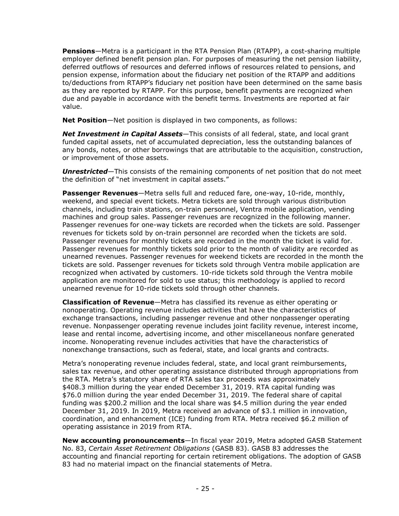**Pensions**—Metra is a participant in the RTA Pension Plan (RTAPP), a cost-sharing multiple employer defined benefit pension plan. For purposes of measuring the net pension liability, deferred outflows of resources and deferred inflows of resources related to pensions, and pension expense, information about the fiduciary net position of the RTAPP and additions to/deductions from RTAPP's fiduciary net position have been determined on the same basis as they are reported by RTAPP. For this purpose, benefit payments are recognized when due and payable in accordance with the benefit terms. Investments are reported at fair value.

**Net Position**—Net position is displayed in two components, as follows:

*Net Investment in Capital Assets*—This consists of all federal, state, and local grant funded capital assets, net of accumulated depreciation, less the outstanding balances of any bonds, notes, or other borrowings that are attributable to the acquisition, construction, or improvement of those assets.

*Unrestricted*—This consists of the remaining components of net position that do not meet the definition of "net investment in capital assets."

**Passenger Revenues**—Metra sells full and reduced fare, one-way, 10-ride, monthly, weekend, and special event tickets. Metra tickets are sold through various distribution channels, including train stations, on-train personnel, Ventra mobile application, vending machines and group sales. Passenger revenues are recognized in the following manner. Passenger revenues for one-way tickets are recorded when the tickets are sold. Passenger revenues for tickets sold by on-train personnel are recorded when the tickets are sold. Passenger revenues for monthly tickets are recorded in the month the ticket is valid for. Passenger revenues for monthly tickets sold prior to the month of validity are recorded as unearned revenues. Passenger revenues for weekend tickets are recorded in the month the tickets are sold. Passenger revenues for tickets sold through Ventra mobile application are recognized when activated by customers. 10-ride tickets sold through the Ventra mobile application are monitored for sold to use status; this methodology is applied to record unearned revenue for 10-ride tickets sold through other channels.

**Classification of Revenue**—Metra has classified its revenue as either operating or nonoperating. Operating revenue includes activities that have the characteristics of exchange transactions, including passenger revenue and other nonpassenger operating revenue. Nonpassenger operating revenue includes joint facility revenue, interest income, lease and rental income, advertising income, and other miscellaneous nonfare generated income. Nonoperating revenue includes activities that have the characteristics of nonexchange transactions, such as federal, state, and local grants and contracts.

Metra's nonoperating revenue includes federal, state, and local grant reimbursements, sales tax revenue, and other operating assistance distributed through appropriations from the RTA. Metra's statutory share of RTA sales tax proceeds was approximately \$408.3 million during the year ended December 31, 2019. RTA capital funding was \$76.0 million during the year ended December 31, 2019. The federal share of capital funding was \$200.2 million and the local share was \$4.5 million during the year ended December 31, 2019. In 2019, Metra received an advance of \$3.1 million in innovation, coordination, and enhancement (ICE) funding from RTA. Metra received \$6.2 million of operating assistance in 2019 from RTA.

**New accounting pronouncements**—In fiscal year 2019, Metra adopted GASB Statement No. 83, *Certain Asset Retirement Obligations* (GASB 83). GASB 83 addresses the accounting and financial reporting for certain retirement obligations. The adoption of GASB 83 had no material impact on the financial statements of Metra.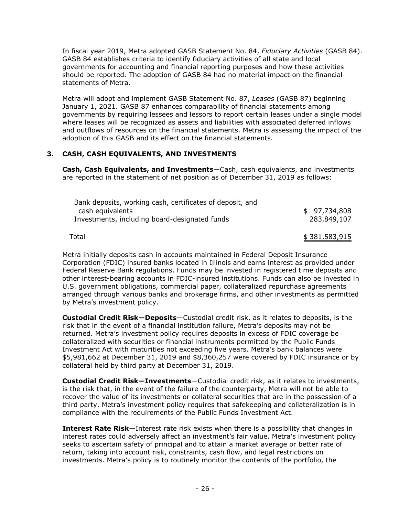In fiscal year 2019, Metra adopted GASB Statement No. 84, *Fiduciary Activities* (GASB 84). GASB 84 establishes criteria to identify fiduciary activities of all state and local governments for accounting and financial reporting purposes and how these activities should be reported. The adoption of GASB 84 had no material impact on the financial statements of Metra.

Metra will adopt and implement GASB Statement No. 87, *Leases* (GASB 87) beginning January 1, 2021. GASB 87 enhances comparability of financial statements among governments by requiring lessees and lessors to report certain leases under a single model where leases will be recognized as assets and liabilities with associated deferred inflows and outflows of resources on the financial statements. Metra is assessing the impact of the adoption of this GASB and its effect on the financial statements.

### **3. CASH, CASH EQUIVALENTS, AND INVESTMENTS**

**Cash, Cash Equivalents, and Investments**—Cash, cash equivalents, and investments are reported in the statement of net position as of December 31, 2019 as follows:

| Bank deposits, working cash, certificates of deposit, and |              |
|-----------------------------------------------------------|--------------|
| cash equivalents                                          | \$97,734,808 |
| Investments, including board-designated funds             | 283,849,107  |
|                                                           |              |

Total \$ 381,583,915

Metra initially deposits cash in accounts maintained in Federal Deposit Insurance Corporation (FDIC) insured banks located in Illinois and earns interest as provided under Federal Reserve Bank regulations. Funds may be invested in registered time deposits and other interest-bearing accounts in FDIC-insured institutions. Funds can also be invested in U.S. government obligations, commercial paper, collateralized repurchase agreements arranged through various banks and brokerage firms, and other investments as permitted by Metra's investment policy.

**Custodial Credit Risk—Deposits**—Custodial credit risk, as it relates to deposits, is the risk that in the event of a financial institution failure, Metra's deposits may not be returned. Metra's investment policy requires deposits in excess of FDIC coverage be collateralized with securities or financial instruments permitted by the Public Funds Investment Act with maturities not exceeding five years. Metra's bank balances were \$5,981,662 at December 31, 2019 and \$8,360,257 were covered by FDIC insurance or by collateral held by third party at December 31, 2019.

**Custodial Credit Risk—Investments**—Custodial credit risk, as it relates to investments, is the risk that, in the event of the failure of the counterparty, Metra will not be able to recover the value of its investments or collateral securities that are in the possession of a third party. Metra's investment policy requires that safekeeping and collateralization is in compliance with the requirements of the Public Funds Investment Act.

**Interest Rate Risk**—Interest rate risk exists when there is a possibility that changes in interest rates could adversely affect an investment's fair value. Metra's investment policy seeks to ascertain safety of principal and to attain a market average or better rate of return, taking into account risk, constraints, cash flow, and legal restrictions on investments. Metra's policy is to routinely monitor the contents of the portfolio, the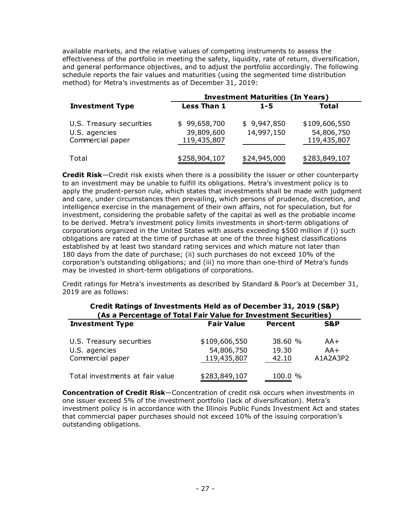available markets, and the relative values of competing instruments to assess the effectiveness of the portfolio in meeting the safety, liquidity, rate of return, diversification, and general performance objectives, and to adjust the portfolio accordingly. The following schedule reports the fair values and maturities (using the segmented time distribution method) for Metra's investments as of December 31, 2019:

|                                                               | <b>Investment Maturities (In Years)</b>   |                           |                                            |  |
|---------------------------------------------------------------|-------------------------------------------|---------------------------|--------------------------------------------|--|
| <b>Investment Type</b>                                        | <b>Less Than 1</b>                        | $1 - 5$                   | Total                                      |  |
| U.S. Treasury securities<br>U.S. agencies<br>Commercial paper | \$99,658,700<br>39,809,600<br>119,435,807 | \$9,947,850<br>14,997,150 | \$109,606,550<br>54,806,750<br>119,435,807 |  |
| Total                                                         | \$258,904,107                             | \$24,945,000              | \$283,849,107                              |  |

**Credit Risk**—Credit risk exists when there is a possibility the issuer or other counterparty to an investment may be unable to fulfill its obligations. Metra's investment policy is to apply the prudent-person rule, which states that investments shall be made with judgment and care, under circumstances then prevailing, which persons of prudence, discretion, and intelligence exercise in the management of their own affairs, not for speculation, but for investment, considering the probable safety of the capital as well as the probable income to be derived. Metra's investment policy limits investments in short-term obligations of corporations organized in the United States with assets exceeding \$500 million if (i) such obligations are rated at the time of purchase at one of the three highest classifications established by at least two standard rating services and which mature not later than 180 days from the date of purchase; (ii) such purchases do not exceed 10% of the corporation's outstanding obligations; and (iii) no more than one-third of Metra's funds may be invested in short-term obligations of corporations.

Credit ratings for Metra's investments as described by Standard & Poor's at December 31, 2019 are as follows:

| Credit Ratings of Investments Held as of December 31, 2019 (S&P)<br>(As a Percentage of Total Fair Value for Investment Securities) |                                            |                                  |                            |  |
|-------------------------------------------------------------------------------------------------------------------------------------|--------------------------------------------|----------------------------------|----------------------------|--|
| <b>Investment Type</b>                                                                                                              | <b>Fair Value</b>                          | <b>S&amp;P</b><br><b>Percent</b> |                            |  |
| U.S. Treasury securities<br>U.S. agencies<br>Commercial paper                                                                       | \$109,606,550<br>54,806,750<br>119,435,807 | 38,60%<br>19.30<br>42.10         | $AA+$<br>$AA+$<br>A1A2A3P2 |  |
| Total investments at fair value                                                                                                     | \$283,849,107                              | 100.0 %                          |                            |  |

# **Credit Ratings of Investments Held as of December 31, 2019 (S&P)**

**Concentration of Credit Risk**—Concentration of credit risk occurs when investments in one issuer exceed 5% of the investment portfolio (lack of diversification). Metra's investment policy is in accordance with the Illinois Public Funds Investment Act and states that commercial paper purchases should not exceed 10% of the issuing corporation's outstanding obligations.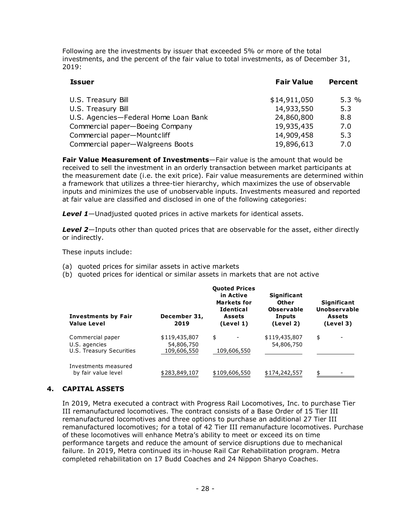Following are the investments by issuer that exceeded 5% or more of the total investments, and the percent of the fair value to total investments, as of December 31, 2019:

| <b>Issuer</b>                        | <b>Fair Value</b> | <b>Percent</b> |
|--------------------------------------|-------------------|----------------|
| U.S. Treasury Bill                   | \$14,911,050      | 5.3%           |
| U.S. Treasury Bill                   | 14,933,550        | 5.3            |
| U.S. Agencies-Federal Home Loan Bank | 24,860,800        | 8.8            |
| Commercial paper-Boeing Company      | 19,935,435        | 7.0            |
| Commercial paper-Mountcliff          | 14,909,458        | 5.3            |
| Commercial paper-Walgreens Boots     | 19,896,613        | 7.0            |

**Fair Value Measurement of Investments**—Fair value is the amount that would be received to sell the investment in an orderly transaction between market participants at the measurement date (i.e. the exit price). Fair value measurements are determined within a framework that utilizes a three-tier hierarchy, which maximizes the use of observable inputs and minimizes the use of unobservable inputs. Investments measured and reported at fair value are classified and disclosed in one of the following categories:

*Level 1*—Unadjusted quoted prices in active markets for identical assets.

*Level 2*—Inputs other than quoted prices that are observable for the asset, either directly or indirectly.

These inputs include:

- (a) quoted prices for similar assets in active markets
- (b) quoted prices for identical or similar assets in markets that are not active

| <b>Investments by Fair</b><br><b>Value Level</b>              | December 31,<br>2019                       | <b>Quoted Prices</b><br>in Active<br><b>Markets for</b><br><b>Identical</b><br><b>Assets</b><br>(Level 1) | <b>Significant</b><br><b>Other</b><br><b>Observable</b><br>Inputs<br>(Level 2) | <b>Significant</b><br>Unobservable<br><b>Assets</b><br>(Level 3) |
|---------------------------------------------------------------|--------------------------------------------|-----------------------------------------------------------------------------------------------------------|--------------------------------------------------------------------------------|------------------------------------------------------------------|
| Commercial paper<br>U.S. agencies<br>U.S. Treasury Securities | \$119,435,807<br>54,806,750<br>109,606,550 | \$<br>109,606,550                                                                                         | \$119,435,807<br>54,806,750                                                    | \$                                                               |
| Investments measured<br>by fair value level                   | \$283,849,107                              | \$109,606,550                                                                                             | \$174,242,557                                                                  |                                                                  |

### **4. CAPITAL ASSETS**

In 2019, Metra executed a contract with Progress Rail Locomotives, Inc. to purchase Tier III remanufactured locomotives. The contract consists of a Base Order of 15 Tier III remanufactured locomotives and three options to purchase an additional 27 Tier III remanufactured locomotives; for a total of 42 Tier III remanufacture locomotives. Purchase of these locomotives will enhance Metra's ability to meet or exceed its on time performance targets and reduce the amount of service disruptions due to mechanical failure. In 2019, Metra continued its in-house Rail Car Rehabilitation program. Metra completed rehabilitation on 17 Budd Coaches and 24 Nippon Sharyo Coaches.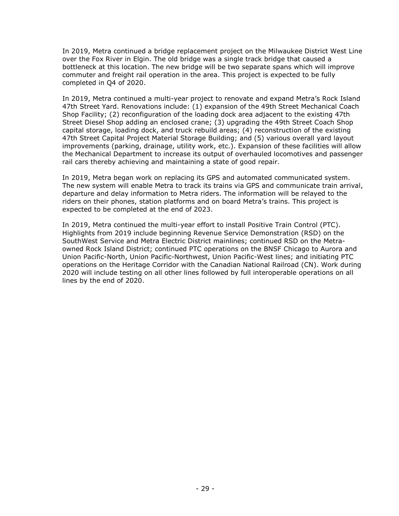In 2019, Metra continued a bridge replacement project on the Milwaukee District West Line over the Fox River in Elgin. The old bridge was a single track bridge that caused a bottleneck at this location. The new bridge will be two separate spans which will improve commuter and freight rail operation in the area. This project is expected to be fully completed in Q4 of 2020.

In 2019, Metra continued a multi-year project to renovate and expand Metra's Rock Island 47th Street Yard. Renovations include: (1) expansion of the 49th Street Mechanical Coach Shop Facility; (2) reconfiguration of the loading dock area adjacent to the existing 47th Street Diesel Shop adding an enclosed crane; (3) upgrading the 49th Street Coach Shop capital storage, loading dock, and truck rebuild areas; (4) reconstruction of the existing 47th Street Capital Project Material Storage Building; and (5) various overall yard layout improvements (parking, drainage, utility work, etc.). Expansion of these facilities will allow the Mechanical Department to increase its output of overhauled locomotives and passenger rail cars thereby achieving and maintaining a state of good repair.

In 2019, Metra began work on replacing its GPS and automated communicated system. The new system will enable Metra to track its trains via GPS and communicate train arrival, departure and delay information to Metra riders. The information will be relayed to the riders on their phones, station platforms and on board Metra's trains. This project is expected to be completed at the end of 2023.

In 2019, Metra continued the multi-year effort to install Positive Train Control (PTC). Highlights from 2019 include beginning Revenue Service Demonstration (RSD) on the SouthWest Service and Metra Electric District mainlines; continued RSD on the Metraowned Rock Island District; continued PTC operations on the BNSF Chicago to Aurora and Union Pacific-North, Union Pacific-Northwest, Union Pacific-West lines; and initiating PTC operations on the Heritage Corridor with the Canadian National Railroad (CN). Work during 2020 will include testing on all other lines followed by full interoperable operations on all lines by the end of 2020.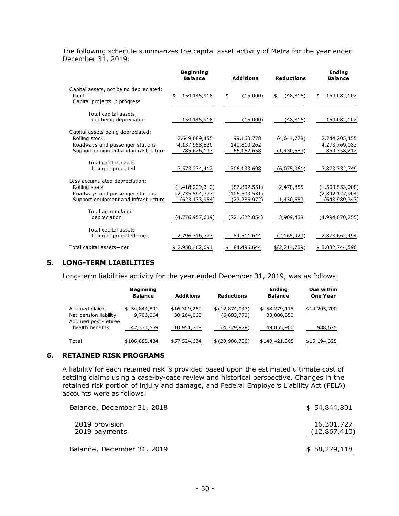The following schedule summarizes the capital asset activity of Metra for the year ended December 31, 2019:

|                                                                                                                               | <b>Beginning</b><br><b>Balance</b>                     | <b>Additions</b>                                  | <b>Reductions</b>          | <b>Ending</b><br><b>Balance</b>                     |
|-------------------------------------------------------------------------------------------------------------------------------|--------------------------------------------------------|---------------------------------------------------|----------------------------|-----------------------------------------------------|
| Capital assets, not being depreciated:<br>Land<br>Capital projects in progress                                                | \$<br>154,145,918                                      | (15,000)<br>\$                                    | (48, 816)<br>\$            | 154,082,102<br>\$                                   |
| Total capital assets,<br>not being depreciated                                                                                | 154,145,918                                            | (15,000)                                          | (48, 816)                  | 154,082,102                                         |
| Capital assets being depreciated:<br>Rolling stock<br>Roadways and passenger stations<br>Support equipment and infrastructure | 2,649,689,455<br>4,137,958,820<br>785,626,137          | 99,160,778<br>140,810,262<br>66,162,658           | (4,644,778)<br>(1,430,583) | 2,744,205,455<br>4,278,769,082<br>850,358,212       |
| Total capital assets<br>being depreciated                                                                                     | 7,573,274,412                                          | 306,133,698                                       | (6,075,361)                | 7,873,332,749                                       |
| Less accumulated depreciation:<br>Rolling stock<br>Roadways and passenger stations<br>Support equipment and infrastructure    | (1, 418, 229, 312)<br>(2,735,594,373)<br>(623,133,954) | (87, 802, 551)<br>(106, 533, 531)<br>(27,285,972) | 2,478,855<br>1,430,583     | (1,503,553,008)<br>(2,842,127,904)<br>(648,989,343) |
| Total accumulated<br>depreciation                                                                                             | (4,776,957,639)                                        | (221, 622, 054)                                   | 3,909,438                  | (4,994,670,255)                                     |
| Total capital assets<br>being depreciated-net                                                                                 | 2,796,316,773                                          | 84,511,644                                        | (2, 165, 923)              | 2,878,662,494                                       |
| Total capital assets-net                                                                                                      | \$2,950,462,691                                        | 84,496,644                                        | <u>\$(2,214,739)</u>       | \$3,032,744,596                                     |

#### **5. LONG-TERM LIABILITIES**

Long-term liabilities activity for the year ended December 31, 2019, was as follows:

|                                                                 | <b>Beginning</b><br><b>Balance</b> | <b>Additions</b>           | <b>Reductions</b>             | <b>Ending</b><br><b>Balance</b> | Due within<br><b>One Year</b> |
|-----------------------------------------------------------------|------------------------------------|----------------------------|-------------------------------|---------------------------------|-------------------------------|
| Accrued claims<br>Net pension liability<br>Accrued post-retiree | 54,844,801<br>\$<br>9,706,064      | \$16,309,260<br>30,264,065 | \$(12,874,943)<br>(6,883,779) | \$58,279,118<br>33,086,350      | \$14,205,700                  |
| health benefits                                                 | 42,334,569                         | 10,951,309                 | (4,229,978)                   | 49,055,900                      | 988,625                       |
| Total                                                           | \$106,885,434                      | \$57,524,634               | \$(23,988,700)                | \$140,421,368                   | \$15,194,325                  |

#### **6. RETAINED RISK PROGRAMS**

A liability for each retained risk is provided based upon the estimated ultimate cost of settling claims using a case-by-case review and historical perspective. Changes in the retained risk portion of injury and damage, and Federal Employers Liability Act (FELA) accounts were as follows:

| Balance, December 31, 2018      | \$54,844,801                 |
|---------------------------------|------------------------------|
| 2019 provision<br>2019 payments | 16,301,727<br>(12, 867, 410) |
| Balance, December 31, 2019      | \$58,279,118                 |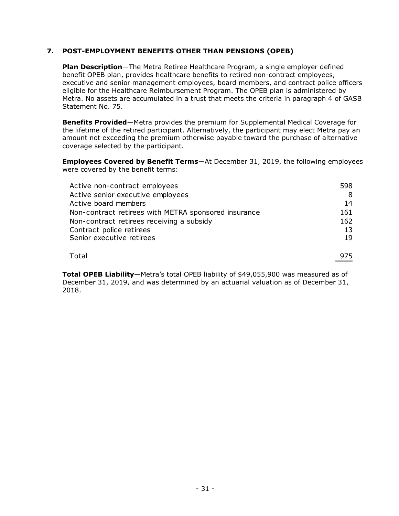### **7. POST-EMPLOYMENT BENEFITS OTHER THAN PENSIONS (OPEB)**

**Plan Description**—The Metra Retiree Healthcare Program, a single employer defined benefit OPEB plan, provides healthcare benefits to retired non-contract employees, executive and senior management employees, board members, and contract police officers eligible for the Healthcare Reimbursement Program. The OPEB plan is administered by Metra. No assets are accumulated in a trust that meets the criteria in paragraph 4 of GASB Statement No. 75.

**Benefits Provided**—Metra provides the premium for Supplemental Medical Coverage for the lifetime of the retired participant. Alternatively, the participant may elect Metra pay an amount not exceeding the premium otherwise payable toward the purchase of alternative coverage selected by the participant.

**Employees Covered by Benefit Terms**—At December 31, 2019, the following employees were covered by the benefit terms:

| Active non-contract employees                        | 598 |
|------------------------------------------------------|-----|
| Active senior executive employees                    |     |
| Active board members                                 | 14  |
| Non-contract retirees with METRA sponsored insurance | 161 |
| Non-contract retirees receiving a subsidy            | 162 |
| Contract police retirees                             | 13  |
| Senior executive retirees                            | 19  |
|                                                      |     |
| Total                                                | 975 |

**Total OPEB Liability**—Metra's total OPEB liability of \$49,055,900 was measured as of December 31, 2019, and was determined by an actuarial valuation as of December 31, 2018.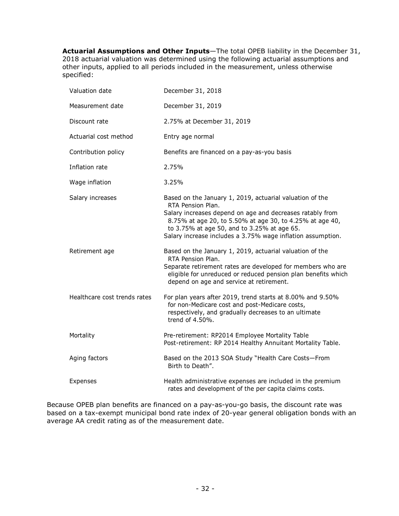**Actuarial Assumptions and Other Inputs**—The total OPEB liability in the December 31, 2018 actuarial valuation was determined using the following actuarial assumptions and other inputs, applied to all periods included in the measurement, unless otherwise specified:

| Valuation date               | December 31, 2018                                                                                                                                                                                                                                                                                                    |
|------------------------------|----------------------------------------------------------------------------------------------------------------------------------------------------------------------------------------------------------------------------------------------------------------------------------------------------------------------|
| Measurement date             | December 31, 2019                                                                                                                                                                                                                                                                                                    |
| Discount rate                | 2.75% at December 31, 2019                                                                                                                                                                                                                                                                                           |
| Actuarial cost method        | Entry age normal                                                                                                                                                                                                                                                                                                     |
| Contribution policy          | Benefits are financed on a pay-as-you basis                                                                                                                                                                                                                                                                          |
| Inflation rate               | 2.75%                                                                                                                                                                                                                                                                                                                |
| Wage inflation               | 3.25%                                                                                                                                                                                                                                                                                                                |
| Salary increases             | Based on the January 1, 2019, actuarial valuation of the<br>RTA Pension Plan.<br>Salary increases depend on age and decreases ratably from<br>8.75% at age 20, to 5.50% at age 30, to 4.25% at age 40,<br>to 3.75% at age 50, and to 3.25% at age 65.<br>Salary increase includes a 3.75% wage inflation assumption. |
| Retirement age               | Based on the January 1, 2019, actuarial valuation of the<br>RTA Pension Plan.<br>Separate retirement rates are developed for members who are<br>eligible for unreduced or reduced pension plan benefits which<br>depend on age and service at retirement.                                                            |
| Healthcare cost trends rates | For plan years after 2019, trend starts at 8.00% and 9.50%<br>for non-Medicare cost and post-Medicare costs,<br>respectively, and gradually decreases to an ultimate<br>trend of 4.50%.                                                                                                                              |
| Mortality                    | Pre-retirement: RP2014 Employee Mortality Table<br>Post-retirement: RP 2014 Healthy Annuitant Mortality Table.                                                                                                                                                                                                       |
| Aging factors                | Based on the 2013 SOA Study "Health Care Costs-From<br>Birth to Death".                                                                                                                                                                                                                                              |
| Expenses                     | Health administrative expenses are included in the premium<br>rates and development of the per capita claims costs.                                                                                                                                                                                                  |

Because OPEB plan benefits are financed on a pay-as-you-go basis, the discount rate was based on a tax-exempt municipal bond rate index of 20-year general obligation bonds with an average AA credit rating as of the measurement date.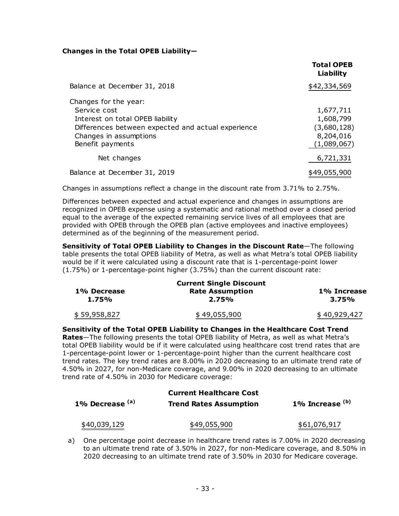### **Changes in the Total OPEB Liability—**

|                                                    | <b>Total OPEB</b><br><b>Liability</b> |
|----------------------------------------------------|---------------------------------------|
| Balance at December 31, 2018                       | \$42,334,569                          |
| Changes for the year:                              |                                       |
| Service cost                                       | 1,677,711                             |
| Interest on total OPEB liability                   | 1,608,799                             |
| Differences between expected and actual experience | (3,680,128)                           |
| Changes in assumptions                             | 8,204,016                             |
| Benefit payments                                   | (1,089,067)                           |
| Net changes                                        | 6,721,331                             |
| Balance at December 31, 2019                       | \$49,055,900                          |

Changes in assumptions reflect a change in the discount rate from 3.71% to 2.75%.

Differences between expected and actual experience and changes in assumptions are recognized in OPEB expense using a systematic and rational method over a closed period equal to the average of the expected remaining service lives of all employees that are provided with OPEB through the OPEB plan (active employees and inactive employees) determined as of the beginning of the measurement period.

**Sensitivity of Total OPEB Liability to Changes in the Discount Rate**—The following table presents the total OPEB liability of Metra, as well as what Metra's total OPEB liability would be if it were calculated using a discount rate that is 1-percentage-point lower (1.75%) or 1-percentage-point higher (3.75%) than the current discount rate:

| <b>Current Single Discount</b> |                                 |                      |  |  |
|--------------------------------|---------------------------------|----------------------|--|--|
| 1% Decrease<br>1.75%           | <b>Rate Assumption</b><br>2.75% | 1% Increase<br>3.75% |  |  |
| \$59,958,827                   | \$49,055,900                    | \$40,929,427         |  |  |

**Sensitivity of the Total OPEB Liability to Changes in the Healthcare Cost Trend Rates**—The following presents the total OPEB liability of Metra, as well as what Metra's total OPEB liability would be if it were calculated using healthcare cost trend rates that are 1-percentage-point lower or 1-percentage-point higher than the current healthcare cost trend rates. The key trend rates are 8.00% in 2020 decreasing to an ultimate trend rate of 4.50% in 2027, for non-Medicare coverage, and 9.00% in 2020 decreasing to an ultimate trend rate of 4.50% in 2030 for Medicare coverage:

|                 | <b>Current Healthcare Cost</b> |                      |
|-----------------|--------------------------------|----------------------|
| 1% Decrease (a) | <b>Trend Rates Assumption</b>  | $1\%$ Increase $(b)$ |
| \$40,039,129    | \$49,055,900                   | \$61,076,917         |

a) One percentage point decrease in healthcare trend rates is 7.00% in 2020 decreasing to an ultimate trend rate of 3.50% in 2027, for non-Medicare coverage, and 8.50% in 2020 decreasing to an ultimate trend rate of 3.50% in 2030 for Medicare coverage.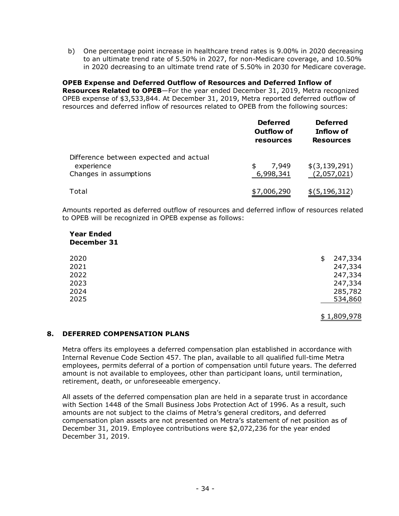b) One percentage point increase in healthcare trend rates is 9.00% in 2020 decreasing to an ultimate trend rate of 5.50% in 2027, for non-Medicare coverage, and 10.50% in 2020 decreasing to an ultimate trend rate of 5.50% in 2030 for Medicare coverage.

**OPEB Expense and Deferred Outflow of Resources and Deferred Inflow of Resources Related to OPEB**—For the year ended December 31, 2019, Metra recognized OPEB expense of \$3,533,844. At December 31, 2019, Metra reported deferred outflow of resources and deferred inflow of resources related to OPEB from the following sources:

|                                                                                | <b>Deferred</b><br><b>Outflow of</b><br><b>resources</b> | <b>Deferred</b><br>Inflow of<br><b>Resources</b> |
|--------------------------------------------------------------------------------|----------------------------------------------------------|--------------------------------------------------|
| Difference between expected and actual<br>experience<br>Changes in assumptions | 7,949<br>\$<br>6,998,341                                 | \$(3,139,291)<br>(2,057,021)                     |
| Total                                                                          | \$7,006,290                                              | \$(5, 196, 312)                                  |

Amounts reported as deferred outflow of resources and deferred inflow of resources related to OPEB will be recognized in OPEB expense as follows:

#### **Year Ended December 31**

| 2020 | \$<br>247,334 |
|------|---------------|
| 2021 | 247,334       |
| 2022 | 247,334       |
| 2023 | 247,334       |
| 2024 | 285,782       |
| 2025 | 534,860       |
|      |               |

\$ 1,809,978

#### **8. DEFERRED COMPENSATION PLANS**

Metra offers its employees a deferred compensation plan established in accordance with Internal Revenue Code Section 457. The plan, available to all qualified full-time Metra employees, permits deferral of a portion of compensation until future years. The deferred amount is not available to employees, other than participant loans, until termination, retirement, death, or unforeseeable emergency.

All assets of the deferred compensation plan are held in a separate trust in accordance with Section 1448 of the Small Business Jobs Protection Act of 1996. As a result, such amounts are not subject to the claims of Metra's general creditors, and deferred compensation plan assets are not presented on Metra's statement of net position as of December 31, 2019. Employee contributions were \$2,072,236 for the year ended December 31, 2019.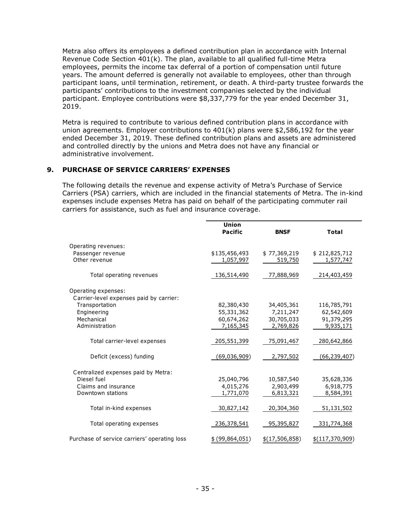Metra also offers its employees a defined contribution plan in accordance with Internal Revenue Code Section  $401(k)$ . The plan, available to all qualified full-time Metra employees, permits the income tax deferral of a portion of compensation until future years. The amount deferred is generally not available to employees, other than through participant loans, until termination, retirement, or death. A third-party trustee forwards the participants' contributions to the investment companies selected by the individual participant. Employee contributions were \$8,337,779 for the year ended December 31, 2019.

Metra is required to contribute to various defined contribution plans in accordance with union agreements. Employer contributions to  $401(k)$  plans were \$2,586,192 for the year ended December 31, 2019. These defined contribution plans and assets are administered and controlled directly by the unions and Metra does not have any financial or administrative involvement.

### **9. PURCHASE OF SERVICE CARRIERS' EXPENSES**

The following details the revenue and expense activity of Metra's Purchase of Service Carriers (PSA) carriers, which are included in the financial statements of Metra. The in-kind expenses include expenses Metra has paid on behalf of the participating commuter rail carriers for assistance, such as fuel and insurance coverage.

|                                              | Union<br><b>Pacific</b> | <b>BNSF</b>    | <b>Total</b>      |
|----------------------------------------------|-------------------------|----------------|-------------------|
| Operating revenues:                          |                         |                |                   |
| Passenger revenue                            | \$135,456,493           | \$77,369,219   | \$212,825,712     |
| Other revenue                                | 1,057,997               | 519,750        | 1,577,747         |
| Total operating revenues                     | 136,514,490             | 77,888,969     | 214,403,459       |
| Operating expenses:                          |                         |                |                   |
| Carrier-level expenses paid by carrier:      |                         |                |                   |
| Transportation                               | 82,380,430              | 34,405,361     | 116,785,791       |
| Engineering                                  | 55,331,362              | 7,211,247      | 62,542,609        |
| Mechanical                                   | 60,674,262              | 30,705,033     | 91,379,295        |
| Administration                               | 7,165,345               | 2,769,826      | 9,935,171         |
| Total carrier-level expenses                 | 205,551,399             | 75,091,467     | 280,642,866       |
| Deficit (excess) funding                     | (69,036,909)            | 2,797,502      | (66,239,407)      |
| Centralized expenses paid by Metra:          |                         |                |                   |
| Diesel fuel                                  | 25,040,796              | 10,587,540     | 35,628,336        |
| Claims and insurance                         | 4,015,276               | 2,903,499      | 6,918,775         |
| Downtown stations                            | 1,771,070               | 6,813,321      | 8,584,391         |
| Total in-kind expenses                       | 30,827,142              | 20,304,360     | 51,131,502        |
| Total operating expenses                     | 236,378,541             | 95,395,827     | 331,774,368       |
| Purchase of service carriers' operating loss | \$(99,864,051)          | \$(17,506,858) | \$(117, 370, 909) |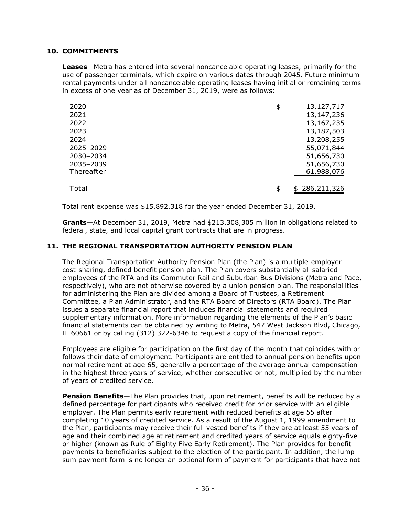#### **10. COMMITMENTS**

**Leases**—Metra has entered into several noncancelable operating leases, primarily for the use of passenger terminals, which expire on various dates through 2045. Future minimum rental payments under all noncancelable operating leases having initial or remaining terms in excess of one year as of December 31, 2019, were as follows:

| 2020       | \$<br>13,127,717       |
|------------|------------------------|
| 2021       | 13,147,236             |
| 2022       | 13,167,235             |
| 2023       | 13,187,503             |
| 2024       | 13,208,255             |
| 2025-2029  | 55,071,844             |
| 2030-2034  | 51,656,730             |
| 2035-2039  | 51,656,730             |
| Thereafter | 61,988,076             |
|            |                        |
| Total      | \$<br>286,211,326<br>S |

Total rent expense was \$15,892,318 for the year ended December 31, 2019.

**Grants**—At December 31, 2019, Metra had \$213,308,305 million in obligations related to federal, state, and local capital grant contracts that are in progress.

#### **11. THE REGIONAL TRANSPORTATION AUTHORITY PENSION PLAN**

The Regional Transportation Authority Pension Plan (the Plan) is a multiple-employer cost-sharing, defined benefit pension plan. The Plan covers substantially all salaried employees of the RTA and its Commuter Rail and Suburban Bus Divisions (Metra and Pace, respectively), who are not otherwise covered by a union pension plan. The responsibilities for administering the Plan are divided among a Board of Trustees, a Retirement Committee, a Plan Administrator, and the RTA Board of Directors (RTA Board). The Plan issues a separate financial report that includes financial statements and required supplementary information. More information regarding the elements of the Plan's basic financial statements can be obtained by writing to Metra, 547 West Jackson Blvd, Chicago, IL 60661 or by calling (312) 322-6346 to request a copy of the financial report.

Employees are eligible for participation on the first day of the month that coincides with or follows their date of employment. Participants are entitled to annual pension benefits upon normal retirement at age 65, generally a percentage of the average annual compensation in the highest three years of service, whether consecutive or not, multiplied by the number of years of credited service.

**Pension Benefits**—The Plan provides that, upon retirement, benefits will be reduced by a defined percentage for participants who received credit for prior service with an eligible employer. The Plan permits early retirement with reduced benefits at age 55 after completing 10 years of credited service. As a result of the August 1, 1999 amendment to the Plan, participants may receive their full vested benefits if they are at least 55 years of age and their combined age at retirement and credited years of service equals eighty-five or higher (known as Rule of Eighty Five Early Retirement). The Plan provides for benefit payments to beneficiaries subject to the election of the participant. In addition, the lump sum payment form is no longer an optional form of payment for participants that have not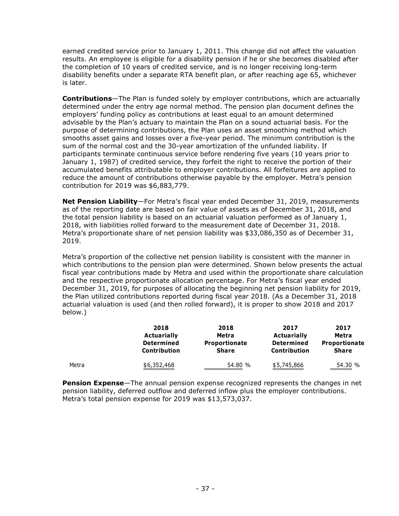earned credited service prior to January 1, 2011. This change did not affect the valuation results. An employee is eligible for a disability pension if he or she becomes disabled after the completion of 10 years of credited service, and is no longer receiving long-term disability benefits under a separate RTA benefit plan, or after reaching age 65, whichever is later.

**Contributions**—The Plan is funded solely by employer contributions, which are actuarially determined under the entry age normal method. The pension plan document defines the employers' funding policy as contributions at least equal to an amount determined advisable by the Plan's actuary to maintain the Plan on a sound actuarial basis. For the purpose of determining contributions, the Plan uses an asset smoothing method which smooths asset gains and losses over a five-year period. The minimum contribution is the sum of the normal cost and the 30-year amortization of the unfunded liability. If participants terminate continuous service before rendering five years (10 years prior to January 1, 1987) of credited service, they forfeit the right to receive the portion of their accumulated benefits attributable to employer contributions. All forfeitures are applied to reduce the amount of contributions otherwise payable by the employer. Metra's pension contribution for 2019 was \$6,883,779.

**Net Pension Liability**—For Metra's fiscal year ended December 31, 2019, measurements as of the reporting date are based on fair value of assets as of December 31, 2018, and the total pension liability is based on an actuarial valuation performed as of January 1, 2018, with liabilities rolled forward to the measurement date of December 31, 2018. Metra's proportionate share of net pension liability was \$33,086,350 as of December 31, 2019.

Metra's proportion of the collective net pension liability is consistent with the manner in which contributions to the pension plan were determined. Shown below presents the actual fiscal year contributions made by Metra and used within the proportionate share calculation and the respective proportionate allocation percentage. For Metra's fiscal year ended December 31, 2019, for purposes of allocating the beginning net pension liability for 2019, the Plan utilized contributions reported during fiscal year 2018. (As a December 31, 2018 actuarial valuation is used (and then rolled forward), it is proper to show 2018 and 2017 below.)

|       | 2018                | 2018          | 2017                | 2017                |
|-------|---------------------|---------------|---------------------|---------------------|
|       | <b>Actuarially</b>  | Metra         | <b>Actuarially</b>  | Metra               |
|       | <b>Determined</b>   | Proportionate | <b>Determined</b>   | Proportionate       |
|       | <b>Contribution</b> | <b>Share</b>  | <b>Contribution</b> | <b>Share</b>        |
| Metra | \$6,352,468         | 54.80 %       | \$5,745,866         | $\frac{54.30}{ }$ % |

**Pension Expense**—The annual pension expense recognized represents the changes in net pension liability, deferred outflow and deferred inflow plus the employer contributions. Metra's total pension expense for 2019 was \$13,573,037.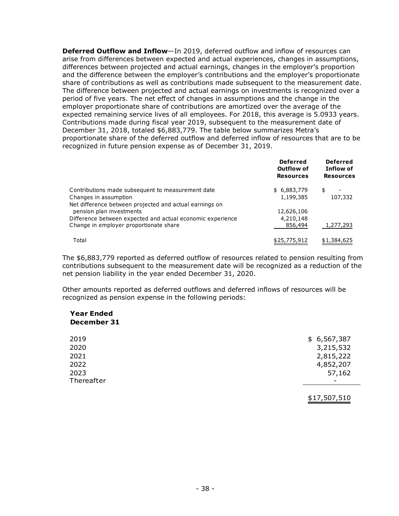**Deferred Outflow and Inflow**—In 2019, deferred outflow and inflow of resources can arise from differences between expected and actual experiences, changes in assumptions, differences between projected and actual earnings, changes in the employer's proportion and the difference between the employer's contributions and the employer's proportionate share of contributions as well as contributions made subsequent to the measurement date. The difference between projected and actual earnings on investments is recognized over a period of five years. The net effect of changes in assumptions and the change in the employer proportionate share of contributions are amortized over the average of the expected remaining service lives of all employees. For 2018, this average is 5.0933 years. Contributions made during fiscal year 2019, subsequent to the measurement date of December 31, 2018, totaled \$6,883,779. The table below summarizes Metra's proportionate share of the deferred outflow and deferred inflow of resources that are to be recognized in future pension expense as of December 31, 2019.

|                                                            | <b>Deferred</b><br>Outflow of<br><b>Resources</b> | <b>Deferred</b><br>Inflow of<br><b>Resources</b> |
|------------------------------------------------------------|---------------------------------------------------|--------------------------------------------------|
| Contributions made subsequent to measurement date          | \$6,883,779                                       | \$                                               |
| Changes in assumption                                      | 1,199,385                                         | 107,332                                          |
| Net difference between projected and actual earnings on    |                                                   |                                                  |
| pension plan investments                                   | 12,626,106                                        |                                                  |
| Difference between expected and actual economic experience | 4,210,148                                         |                                                  |
| Change in employer proportionate share                     | 856,494                                           | 1,277,293                                        |
| Total                                                      | \$25,775,912                                      | \$1,384,625                                      |

The \$6,883,779 reported as deferred outflow of resources related to pension resulting from contributions subsequent to the measurement date will be recognized as a reduction of the net pension liability in the year ended December 31, 2020.

Other amounts reported as deferred outflows and deferred inflows of resources will be recognized as pension expense in the following periods:

### **Year Ended December 31**

| 2019       | \$6,567,387 |
|------------|-------------|
| 2020       | 3,215,532   |
| 2021       | 2,815,222   |
| 2022       | 4,852,207   |
| 2023       | 57,162      |
| Thereafter | -           |
|            |             |

\$17,507,510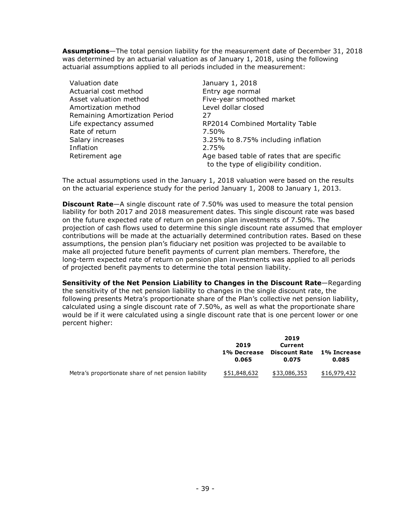**Assumptions**—The total pension liability for the measurement date of December 31, 2018 was determined by an actuarial valuation as of January 1, 2018, using the following actuarial assumptions applied to all periods included in the measurement:

Valuation date January 1, 2018 Actuarial cost method Entry age normal Asset valuation method Five-year smoothed market Amortization method Level dollar closed Remaining Amortization Period 27 Life expectancy assumed RP2014 Combined Mortality Table Rate of return 7.50% Salary increases 3.25% to 8.75% including inflation Inflation 2.75% Retirement age The Age based table of rates that are specific to the type of eligibility condition.

The actual assumptions used in the January 1, 2018 valuation were based on the results on the actuarial experience study for the period January 1, 2008 to January 1, 2013.

**Discount Rate**—A single discount rate of 7.50% was used to measure the total pension liability for both 2017 and 2018 measurement dates. This single discount rate was based on the future expected rate of return on pension plan investments of 7.50%. The projection of cash flows used to determine this single discount rate assumed that employer contributions will be made at the actuarially determined contribution rates. Based on these assumptions, the pension plan's fiduciary net position was projected to be available to make all projected future benefit payments of current plan members. Therefore, the long-term expected rate of return on pension plan investments was applied to all periods of projected benefit payments to determine the total pension liability.

**Sensitivity of the Net Pension Liability to Changes in the Discount Rate**—Regarding the sensitivity of the net pension liability to changes in the single discount rate, the following presents Metra's proportionate share of the Plan's collective net pension liability, calculated using a single discount rate of 7.50%, as well as what the proportionate share would be if it were calculated using a single discount rate that is one percent lower or one percent higher:

|                                                      | 2019<br>1% Decrease<br>0.065 | 2019<br>Current<br><b>Discount Rate</b><br>0.075 | 1% Increase<br>0.085 |
|------------------------------------------------------|------------------------------|--------------------------------------------------|----------------------|
| Metra's proportionate share of net pension liability | \$51,848,632                 | \$33,086,353                                     | \$16,979,432         |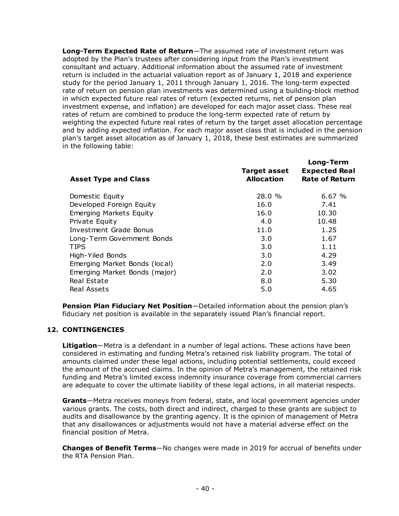**Long-Term Expected Rate of Return**—The assumed rate of investment return was adopted by the Plan's trustees after considering input from the Plan's investment consultant and actuary. Additional information about the assumed rate of investment return is included in the actuarial valuation report as of January 1, 2018 and experience study for the period January 1, 2011 through January 1, 2016. The long-term expected rate of return on pension plan investments was determined using a building-block method in which expected future real rates of return (expected returns, net of pension plan investment expense, and inflation) are developed for each major asset class. These real rates of return are combined to produce the long-term expected rate of return by weighting the expected future real rates of return by the target asset allocation percentage and by adding expected inflation. For each major asset class that is included in the pension plan's target asset allocation as of January 1, 2018, these best estimates are summarized in the following table:

| <b>Asset Type and Class</b>    | Target asset<br><b>Allocation</b> | Long-Term<br><b>Expected Real</b><br><b>Rate of Return</b> |
|--------------------------------|-----------------------------------|------------------------------------------------------------|
| Domestic Equity                | 28.0 %                            | 6.67%                                                      |
| Developed Foreign Equity       | 16.0                              | 7.41                                                       |
| <b>Emerging Markets Equity</b> | 16.0                              | 10.30                                                      |
| Private Equity                 | 4.0                               | 10.48                                                      |
| Investment Grade Bonus         | 11.0                              | 1.25                                                       |
| Long-Term Government Bonds     | 3.0                               | 1.67                                                       |
| <b>TIPS</b>                    | 3.0                               | 1.11                                                       |
| High-Yiled Bonds               | 3.0                               | 4.29                                                       |
| Emerging Market Bonds (local)  | 2.0                               | 3.49                                                       |
| Emerging Market Bonds (major)  | 2.0                               | 3.02                                                       |
| Real Estate                    | 8.0                               | 5.30                                                       |
| <b>Real Assets</b>             | 5.0                               | 4.65                                                       |

**Pension Plan Fiduciary Net Position**—Detailed information about the pension plan's fiduciary net position is available in the separately issued Plan's financial report.

### **12. CONTINGENCIES**

**Litigation**—Metra is a defendant in a number of legal actions. These actions have been considered in estimating and funding Metra's retained risk liability program. The total of amounts claimed under these legal actions, including potential settlements, could exceed the amount of the accrued claims. In the opinion of Metra's management, the retained risk funding and Metra's limited excess indemnity insurance coverage from commercial carriers are adequate to cover the ultimate liability of these legal actions, in all material respects.

**Grants**—Metra receives moneys from federal, state, and local government agencies under various grants. The costs, both direct and indirect, charged to these grants are subject to audits and disallowance by the granting agency. It is the opinion of management of Metra that any disallowances or adjustments would not have a material adverse effect on the financial position of Metra.

**Changes of Benefit Terms**—No changes were made in 2019 for accrual of benefits under the RTA Pension Plan.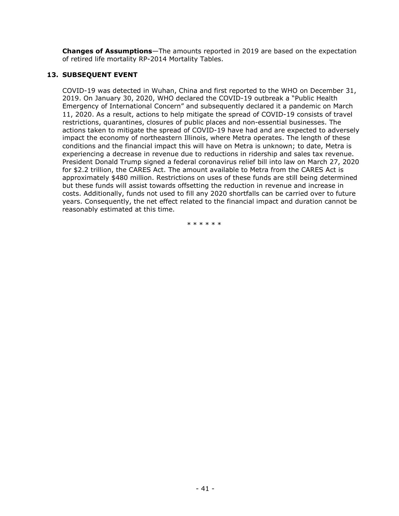**Changes of Assumptions**—The amounts reported in 2019 are based on the expectation of retired life mortality RP-2014 Mortality Tables.

### **13. SUBSEQUENT EVENT**

COVID-19 was detected in Wuhan, China and first reported to the WHO on December 31, 2019. On January 30, 2020, WHO declared the COVID-19 outbreak a "Public Health Emergency of International Concern" and subsequently declared it a pandemic on March 11, 2020. As a result, actions to help mitigate the spread of COVID-19 consists of travel restrictions, quarantines, closures of public places and non-essential businesses. The actions taken to mitigate the spread of COVID-19 have had and are expected to adversely impact the economy of northeastern Illinois, where Metra operates. The length of these conditions and the financial impact this will have on Metra is unknown; to date, Metra is experiencing a decrease in revenue due to reductions in ridership and sales tax revenue. President Donald Trump signed a federal coronavirus relief bill into law on March 27, 2020 for \$2.2 trillion, the CARES Act. The amount available to Metra from the CARES Act is approximately \$480 million. Restrictions on uses of these funds are still being determined but these funds will assist towards offsetting the reduction in revenue and increase in costs. Additionally, funds not used to fill any 2020 shortfalls can be carried over to future years. Consequently, the net effect related to the financial impact and duration cannot be reasonably estimated at this time.

\*\*\*\*\*\*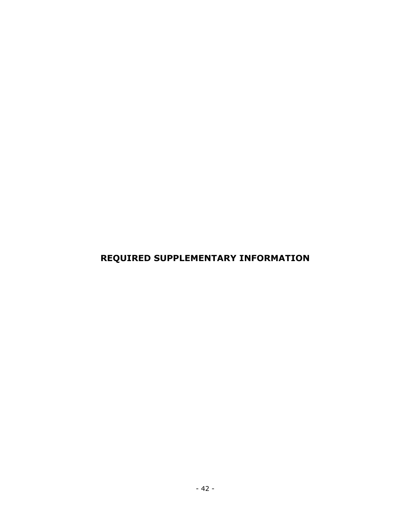# **REQUIRED SUPPLEMENTARY INFORMATION**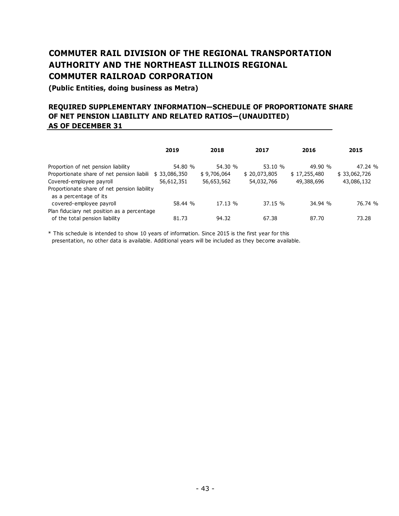**(Public Entities, doing business as Metra)**

### **REQUIRED SUPPLEMENTARY INFORMATION—SCHEDULE OF PROPORTIONATE SHARE OF NET PENSION LIABILITY AND RELATED RATIOS—(UNAUDITED) AS OF DECEMBER 31**

|                                                                               | 2019         | 2018        | 2017         | 2016         | 2015         |
|-------------------------------------------------------------------------------|--------------|-------------|--------------|--------------|--------------|
| Proportion of net pension liability                                           | 54.80 %      | 54.30 %     | 53.10%       | 49.90 $\%$   | 47.24%       |
| Proportionate share of net pension liabili                                    | \$33,086,350 | \$9,706,064 | \$20,073,805 | \$17,255,480 | \$33,062,726 |
| Covered-employee payroll                                                      | 56,612,351   | 56,653,562  | 54,032,766   | 49,388,696   | 43,086,132   |
| Proportionate share of net pension liability<br>as a percentage of its        |              |             |              |              |              |
| covered-employee payroll                                                      | 58.44 %      | $17.13\%$   | 37.15%       | 34.94%       | 76.74 %      |
| Plan fiduciary net position as a percentage<br>of the total pension liability | 81.73        | 94.32       | 67.38        | 87.70        | 73.28        |

\* This schedule is intended to show 10 years of information. Since 2015 is the first year for this presentation, no other data is available. Additional years will be included as they become available.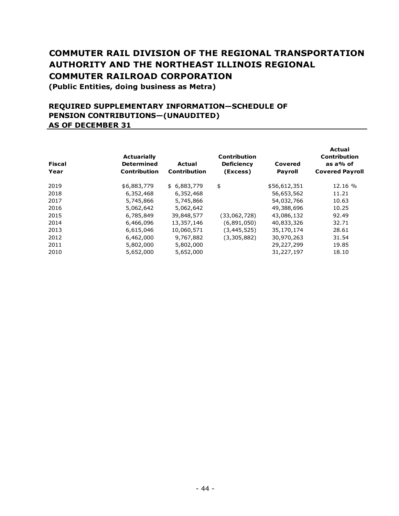**(Public Entities, doing business as Metra)**

### **REQUIRED SUPPLEMENTARY INFORMATION—SCHEDULE OF PENSION CONTRIBUTIONS—(UNAUDITED) AS OF DECEMBER 31**

| <b>Fiscal</b><br>Year | <b>Actuarially</b><br><b>Determined</b><br><b>Contribution</b> | Actual<br><b>Contribution</b> | Contribution<br><b>Deficiency</b><br>(Excess) | Covered<br><b>Payroll</b> | Actual<br><b>Contribution</b><br>as $a\%$ of<br><b>Covered Payroll</b> |
|-----------------------|----------------------------------------------------------------|-------------------------------|-----------------------------------------------|---------------------------|------------------------------------------------------------------------|
| 2019                  | \$6,883,779                                                    | \$6,883,779                   | \$                                            | \$56,612,351              | 12.16 %                                                                |
| 2018                  | 6,352,468                                                      | 6,352,468                     |                                               | 56,653,562                | 11.21                                                                  |
| 2017                  | 5,745,866                                                      | 5,745,866                     |                                               | 54,032,766                | 10.63                                                                  |
| 2016                  | 5,062,642                                                      | 5,062,642                     |                                               | 49,388,696                | 10.25                                                                  |
| 2015                  | 6,785,849                                                      | 39,848,577                    | (33,062,728)                                  | 43,086,132                | 92.49                                                                  |
| 2014                  | 6,466,096                                                      | 13,357,146                    | (6,891,050)                                   | 40,833,326                | 32.71                                                                  |
| 2013                  | 6,615,046                                                      | 10,060,571                    | (3, 445, 525)                                 | 35,170,174                | 28.61                                                                  |
| 2012                  | 6,462,000                                                      | 9,767,882                     | (3,305,882)                                   | 30,970,263                | 31.54                                                                  |
| 2011                  | 5,802,000                                                      | 5,802,000                     |                                               | 29,227,299                | 19.85                                                                  |
| 2010                  | 5,652,000                                                      | 5,652,000                     |                                               | 31,227,197                | 18.10                                                                  |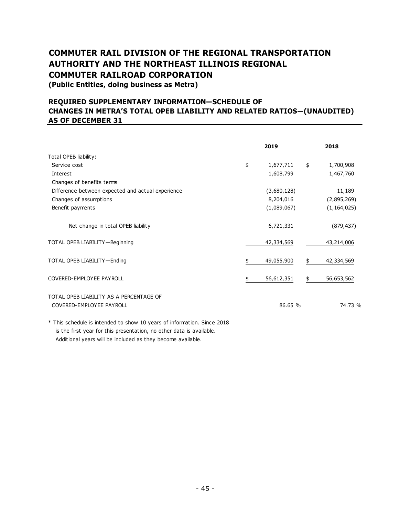**(Public Entities, doing business as Metra)**

### **REQUIRED SUPPLEMENTARY INFORMATION—SCHEDULE OF CHANGES IN METRA'S TOTAL OPEB LIABILITY AND RELATED RATIOS—(UNAUDITED) AS OF DECEMBER 31**

|                                                                         | 2019    |             |         | 2018          |  |
|-------------------------------------------------------------------------|---------|-------------|---------|---------------|--|
| Total OPEB liability:                                                   |         |             |         |               |  |
| Service cost                                                            | \$      | 1,677,711   | \$      | 1,700,908     |  |
| Interest                                                                |         | 1,608,799   |         | 1,467,760     |  |
| Changes of benefits terms                                               |         |             |         |               |  |
| Difference between expected and actual experience                       |         | (3,680,128) |         | 11,189        |  |
| Changes of assumptions                                                  |         | 8,204,016   |         | (2,895,269)   |  |
| Benefit payments                                                        |         | (1,089,067) |         | (1, 164, 025) |  |
| Net change in total OPEB liability                                      |         | 6,721,331   |         | (879, 437)    |  |
| TOTAL OPEB LIABILITY-Beginning                                          |         | 42,334,569  |         | 43,214,006    |  |
| TOTAL OPEB LIABILITY-Ending                                             |         | 49,055,900  | \$      | 42,334,569    |  |
| COVERED-EMPLOYEE PAYROLL                                                | \$      | 56,612,351  | \$      | 56,653,562    |  |
| TOTAL OPEB LIABILITY AS A PERCENTAGE OF                                 |         |             |         |               |  |
| COVERED-EMPLOYEE PAYROLL                                                | 86.65 % |             | 74.73 % |               |  |
| * This schedule is intended to show 10 years of information. Since 2018 |         |             |         |               |  |

 is the first year for this presentation, no other data is available. Additional years will be included as they become available.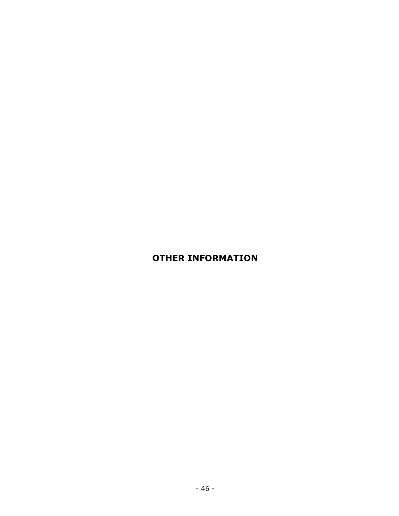# **OTHER INFORMATION**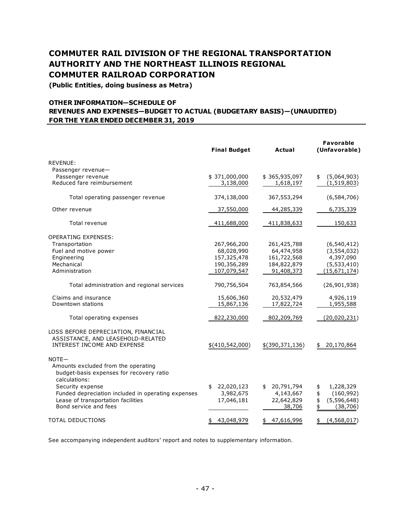**(Public Entities, doing business as Metra)**

### **OTHER INFORMATION—SCHEDULE OF REVENUES AND EXPENSES—BUDGET TO ACTUAL (BUDGETARY BASIS)—(UNAUDITED) FOR THE YEAR ENDED DECEMBER 31, 2019**

|                                                                                                  | <b>Final Budget</b>           | Actual                        | <b>Favorable</b><br>(Unfavorable) |
|--------------------------------------------------------------------------------------------------|-------------------------------|-------------------------------|-----------------------------------|
| REVENUE:                                                                                         |                               |                               |                                   |
| Passenger revenue-                                                                               |                               |                               |                                   |
| Passenger revenue                                                                                | \$371,000,000                 | \$365,935,097                 | (5,064,903)<br>\$                 |
| Reduced fare reimbursement                                                                       | 3,138,000                     | 1,618,197                     | (1, 519, 803)                     |
| Total operating passenger revenue                                                                | 374,138,000                   | 367,553,294                   | (6, 584, 706)                     |
| Other revenue                                                                                    | 37,550,000                    | 44,285,339                    | 6,735,339                         |
| Total revenue                                                                                    | 411,688,000                   | 411,838,633                   | 150,633                           |
| <b>OPERATING EXPENSES:</b>                                                                       |                               |                               |                                   |
| Transportation                                                                                   | 267,966,200                   | 261,425,788                   | (6, 540, 412)                     |
| Fuel and motive power                                                                            | 68,028,990                    | 64,474,958                    | (3, 554, 032)                     |
| Engineering                                                                                      | 157,325,478                   | 161,722,568                   | 4,397,090                         |
| Mechanical                                                                                       | 190,356,289                   | 184,822,879                   | (5,533,410)                       |
| Administration                                                                                   | 107,079,547                   | 91,408,373                    | (15, 671, 174)                    |
| Total administration and regional services                                                       | 790,756,504                   | 763,854,566                   | (26,901,938)                      |
| Claims and insurance                                                                             | 15,606,360                    | 20,532,479                    | 4,926,119                         |
| Downtown stations                                                                                | 15,867,136                    | 17,822,724                    | 1,955,588                         |
| Total operating expenses                                                                         | 822,230,000                   | 802,209,769                   | (20, 020, 231)                    |
| LOSS BEFORE DEPRECIATION, FINANCIAL                                                              |                               |                               |                                   |
| ASSISTANCE, AND LEASEHOLD-RELATED                                                                |                               |                               |                                   |
| INTEREST INCOME AND EXPENSE                                                                      | \$(410, 542, 000)             | \$(390, 371, 136)             | 20,170,864                        |
| NOTE-                                                                                            |                               |                               |                                   |
| Amounts excluded from the operating<br>budget-basis expenses for recovery ratio<br>calculations: |                               |                               |                                   |
|                                                                                                  |                               |                               |                                   |
| Security expense<br>Funded depreciation included in operating expenses                           | \$<br>22,020,123<br>3,982,675 | 20,791,794<br>\$<br>4,143,667 | 1,228,329<br>\$<br>(160, 992)     |
| Lease of transportation facilities                                                               |                               | 22,642,829                    | \$<br>(5,596,648)<br>\$           |
| Bond service and fees                                                                            | 17,046,181                    | 38,706                        | \$<br>(38, 706)                   |
|                                                                                                  |                               |                               |                                   |
| <b>TOTAL DEDUCTIONS</b>                                                                          | 43,048,979<br>\$              | 47,616,996<br>\$              | (4, 568, 017)<br>\$               |

See accompanying independent auditors' report and notes to supplementary information.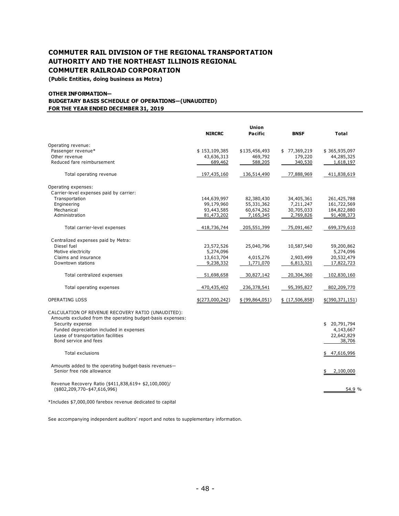**(Public Entities, doing business as Metra)**

#### **OTHER INFORMATION—**

# **BUDGETARY BASIS SCHEDULE OF OPERATIONS—(UNAUDITED)**

**FOR THE YEAR ENDED DECEMBER 31, 2019**

|                                                                                                                  | <b>NIRCRC</b>   | <b>Union</b><br><b>Pacific</b> | <b>BNSF</b>    | <b>Total</b>      |
|------------------------------------------------------------------------------------------------------------------|-----------------|--------------------------------|----------------|-------------------|
| Operating revenue:                                                                                               |                 |                                |                |                   |
| Passenger revenue*                                                                                               | \$153,109,385   | \$135,456,493                  | \$77,369,219   | \$365,935,097     |
| Other revenue                                                                                                    | 43,636,313      | 469,792                        | 179,220        | 44,285,325        |
| Reduced fare reimbursement                                                                                       | 689,462         | 588,205                        | 340,530        | 1,618,197         |
| Total operating revenue                                                                                          | 197,435,160     | 136,514,490                    | 77,888,969     | 411,838,619       |
| Operating expenses:                                                                                              |                 |                                |                |                   |
| Carrier-level expenses paid by carrier:                                                                          |                 |                                |                |                   |
| Transportation                                                                                                   | 144,639,997     | 82,380,430                     | 34,405,361     | 261,425,788       |
| Engineering                                                                                                      | 99,179,960      | 55,331,362                     | 7,211,247      | 161,722,569       |
| Mechanical                                                                                                       | 93,443,585      | 60,674,262                     | 30,705,033     | 184,822,880       |
| Administration                                                                                                   | 81,473,202      | 7,165,345                      | 2,769,826      | 91,408,373        |
| Total carrier-level expenses                                                                                     | 418,736,744     | 205,551,399                    | 75,091,467     | 699,379,610       |
| Centralized expenses paid by Metra:                                                                              |                 |                                |                |                   |
| Diesel fuel                                                                                                      | 23,572,526      | 25,040,796                     | 10,587,540     | 59,200,862        |
| Motive electricity                                                                                               | 5,274,096       |                                |                | 5,274,096         |
| Claims and insurance                                                                                             | 13,613,704      | 4,015,276                      | 2,903,499      | 20,532,479        |
| Downtown stations                                                                                                | 9,238,332       | 1,771,070                      | 6,813,321      | 17,822,723        |
| Total centralized expenses                                                                                       | 51,698,658      | 30,827,142                     | 20,304,360     | 102,830,160       |
| Total operating expenses                                                                                         | 470,435,402     | 236,378,541                    | 95,395,827     | 802,209,770       |
| <b>OPERATING LOSS</b>                                                                                            | \$(273,000,242) | \$ (99,864,051)                | \$(17,506,858) | \$(390, 371, 151) |
| CALCULATION OF REVENUE RECOVERY RATIO (UNAUDITED):<br>Amounts excluded from the operating budget-basis expenses: |                 |                                |                |                   |
| Security expense                                                                                                 |                 |                                |                | 20,791,794<br>\$  |
| Funded depreciation included in expenses                                                                         |                 |                                |                | 4,143,667         |
| Lease of transportation facilities                                                                               |                 |                                |                | 22,642,829        |
| Bond service and fees                                                                                            |                 |                                |                | 38,706            |
| Total exclusions                                                                                                 |                 |                                |                | \$47,616,996      |
| Amounts added to the operating budget-basis revenues-                                                            |                 |                                |                |                   |
| Senior free ride allowance                                                                                       |                 |                                |                | 2,100,000         |
| Revenue Recovery Ratio (\$411,838,619+ \$2,100,000)/<br>(\$802,209,770-\$47,616,996)                             |                 |                                |                | 54.9 %            |
| *Includes \$7,000,000 farebox revenue dedicated to capital                                                       |                 |                                |                |                   |

See accompanying independent auditors' report and notes to supplementary information.